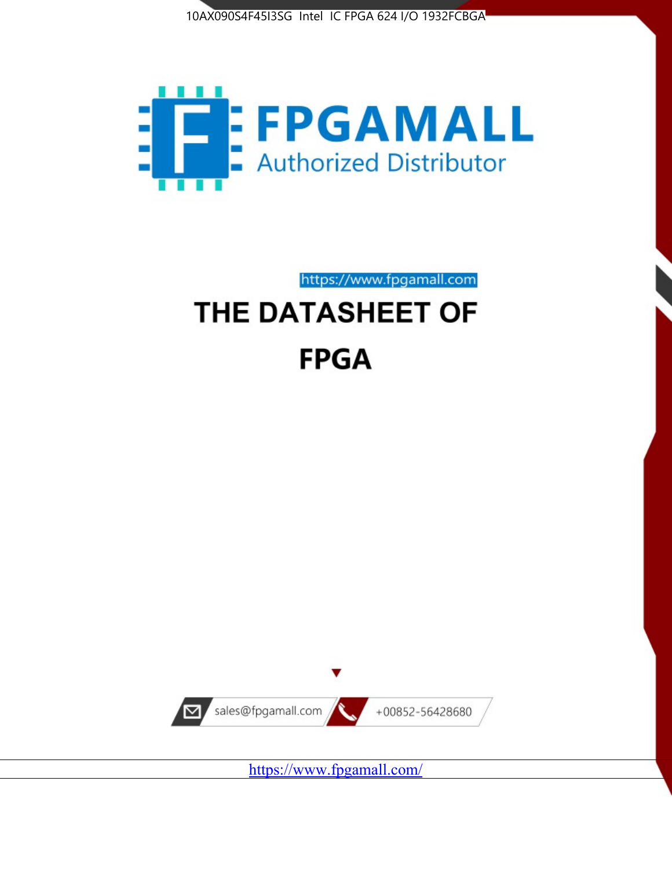



https://www.fpgamall.com

# THE DATASHEET OF **FPGA**



<https://www.fpgamall.com/>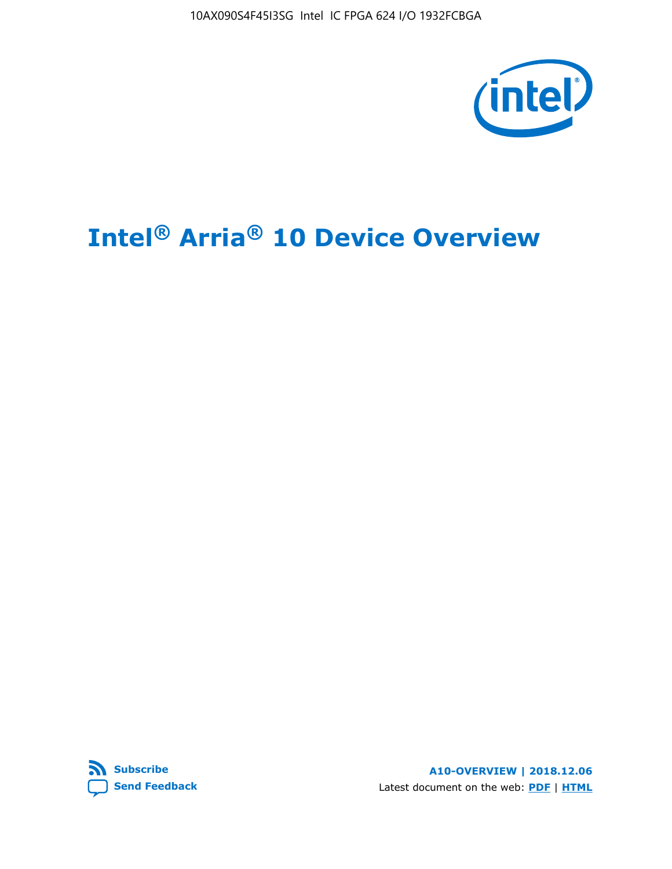10AX090S4F45I3SG Intel IC FPGA 624 I/O 1932FCBGA



# **Intel® Arria® 10 Device Overview**



**A10-OVERVIEW | 2018.12.06** Latest document on the web: **[PDF](https://www.intel.com/content/dam/www/programmable/us/en/pdfs/literature/hb/arria-10/a10_overview.pdf)** | **[HTML](https://www.intel.com/content/www/us/en/programmable/documentation/sam1403480274650.html)**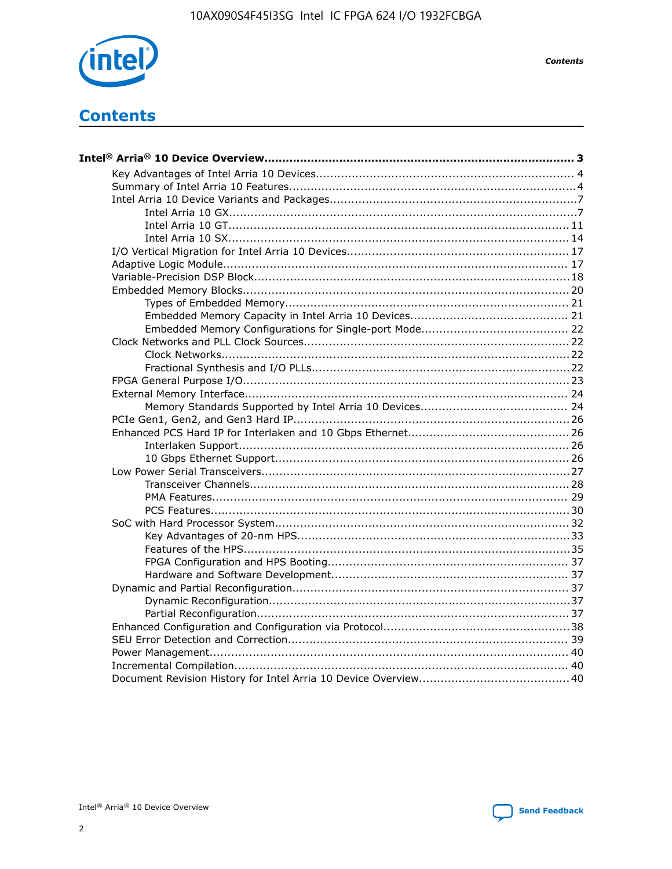

**Contents** 

# **Contents**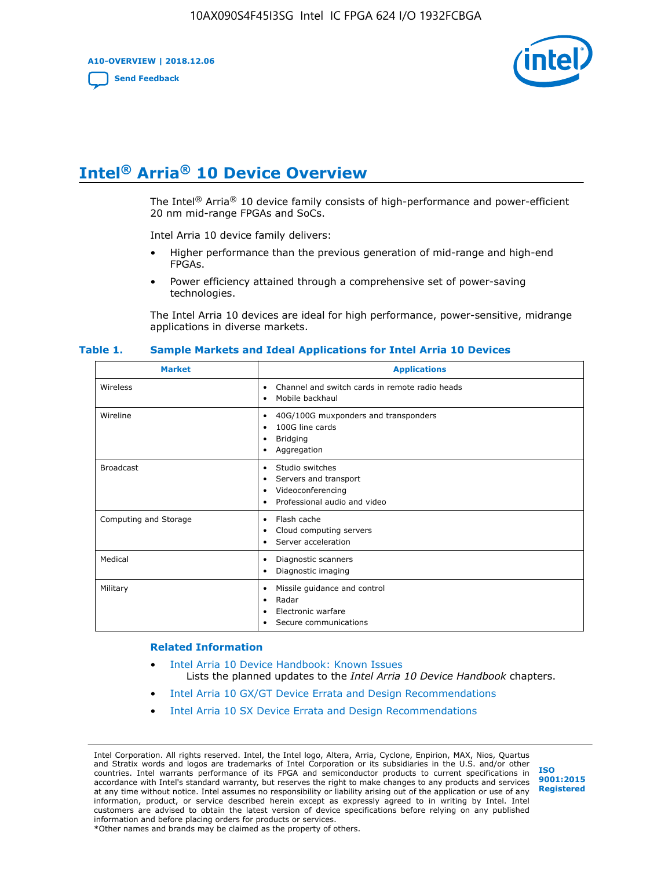**A10-OVERVIEW | 2018.12.06**

**[Send Feedback](mailto:FPGAtechdocfeedback@intel.com?subject=Feedback%20on%20Intel%20Arria%2010%20Device%20Overview%20(A10-OVERVIEW%202018.12.06)&body=We%20appreciate%20your%20feedback.%20In%20your%20comments,%20also%20specify%20the%20page%20number%20or%20paragraph.%20Thank%20you.)**



# **Intel® Arria® 10 Device Overview**

The Intel<sup>®</sup> Arria<sup>®</sup> 10 device family consists of high-performance and power-efficient 20 nm mid-range FPGAs and SoCs.

Intel Arria 10 device family delivers:

- Higher performance than the previous generation of mid-range and high-end FPGAs.
- Power efficiency attained through a comprehensive set of power-saving technologies.

The Intel Arria 10 devices are ideal for high performance, power-sensitive, midrange applications in diverse markets.

| <b>Market</b>         | <b>Applications</b>                                                                                               |
|-----------------------|-------------------------------------------------------------------------------------------------------------------|
| Wireless              | Channel and switch cards in remote radio heads<br>٠<br>Mobile backhaul<br>٠                                       |
| Wireline              | 40G/100G muxponders and transponders<br>٠<br>100G line cards<br>٠<br><b>Bridging</b><br>٠<br>Aggregation<br>٠     |
| <b>Broadcast</b>      | Studio switches<br>٠<br>Servers and transport<br>٠<br>Videoconferencing<br>٠<br>Professional audio and video<br>٠ |
| Computing and Storage | Flash cache<br>٠<br>Cloud computing servers<br>٠<br>Server acceleration<br>٠                                      |
| Medical               | Diagnostic scanners<br>٠<br>Diagnostic imaging<br>٠                                                               |
| Military              | Missile guidance and control<br>٠<br>Radar<br>٠<br>Electronic warfare<br>٠<br>Secure communications<br>٠          |

#### **Table 1. Sample Markets and Ideal Applications for Intel Arria 10 Devices**

#### **Related Information**

- [Intel Arria 10 Device Handbook: Known Issues](http://www.altera.com/support/kdb/solutions/rd07302013_646.html) Lists the planned updates to the *Intel Arria 10 Device Handbook* chapters.
- [Intel Arria 10 GX/GT Device Errata and Design Recommendations](https://www.intel.com/content/www/us/en/programmable/documentation/agz1493851706374.html#yqz1494433888646)
- [Intel Arria 10 SX Device Errata and Design Recommendations](https://www.intel.com/content/www/us/en/programmable/documentation/cru1462832385668.html#cru1462832558642)

Intel Corporation. All rights reserved. Intel, the Intel logo, Altera, Arria, Cyclone, Enpirion, MAX, Nios, Quartus and Stratix words and logos are trademarks of Intel Corporation or its subsidiaries in the U.S. and/or other countries. Intel warrants performance of its FPGA and semiconductor products to current specifications in accordance with Intel's standard warranty, but reserves the right to make changes to any products and services at any time without notice. Intel assumes no responsibility or liability arising out of the application or use of any information, product, or service described herein except as expressly agreed to in writing by Intel. Intel customers are advised to obtain the latest version of device specifications before relying on any published information and before placing orders for products or services. \*Other names and brands may be claimed as the property of others.

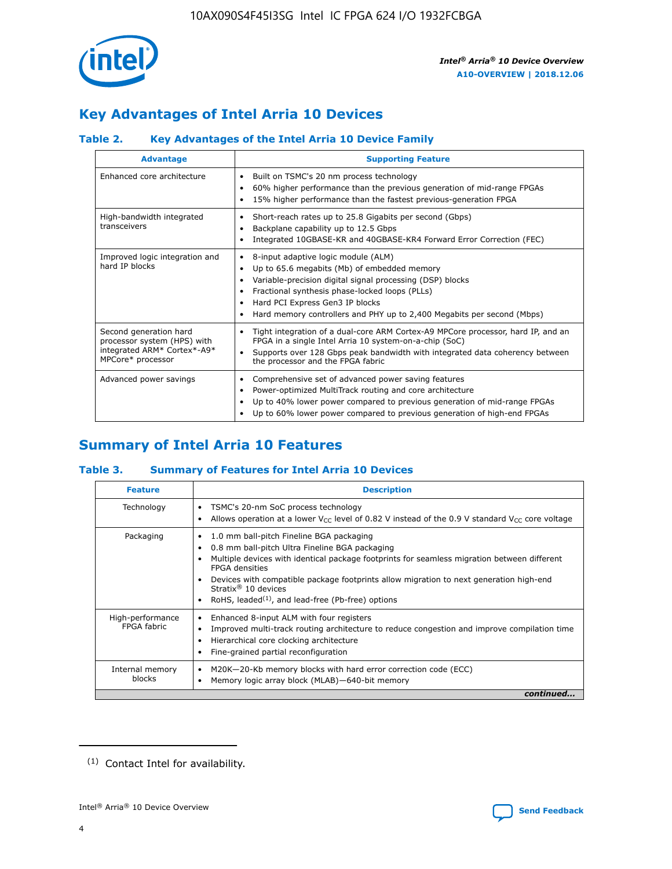

# **Key Advantages of Intel Arria 10 Devices**

# **Table 2. Key Advantages of the Intel Arria 10 Device Family**

| <b>Advantage</b>                                                                                          | <b>Supporting Feature</b>                                                                                                                                                                                                                                                                                                |
|-----------------------------------------------------------------------------------------------------------|--------------------------------------------------------------------------------------------------------------------------------------------------------------------------------------------------------------------------------------------------------------------------------------------------------------------------|
| Enhanced core architecture                                                                                | Built on TSMC's 20 nm process technology<br>٠<br>60% higher performance than the previous generation of mid-range FPGAs<br>٠<br>15% higher performance than the fastest previous-generation FPGA<br>٠                                                                                                                    |
| High-bandwidth integrated<br>transceivers                                                                 | Short-reach rates up to 25.8 Gigabits per second (Gbps)<br>٠<br>Backplane capability up to 12.5 Gbps<br>٠<br>Integrated 10GBASE-KR and 40GBASE-KR4 Forward Error Correction (FEC)<br>٠                                                                                                                                   |
| Improved logic integration and<br>hard IP blocks                                                          | 8-input adaptive logic module (ALM)<br>٠<br>Up to 65.6 megabits (Mb) of embedded memory<br>٠<br>Variable-precision digital signal processing (DSP) blocks<br>Fractional synthesis phase-locked loops (PLLs)<br>Hard PCI Express Gen3 IP blocks<br>Hard memory controllers and PHY up to 2,400 Megabits per second (Mbps) |
| Second generation hard<br>processor system (HPS) with<br>integrated ARM* Cortex*-A9*<br>MPCore* processor | Tight integration of a dual-core ARM Cortex-A9 MPCore processor, hard IP, and an<br>٠<br>FPGA in a single Intel Arria 10 system-on-a-chip (SoC)<br>Supports over 128 Gbps peak bandwidth with integrated data coherency between<br>$\bullet$<br>the processor and the FPGA fabric                                        |
| Advanced power savings                                                                                    | Comprehensive set of advanced power saving features<br>٠<br>Power-optimized MultiTrack routing and core architecture<br>٠<br>Up to 40% lower power compared to previous generation of mid-range FPGAs<br>٠<br>Up to 60% lower power compared to previous generation of high-end FPGAs                                    |

# **Summary of Intel Arria 10 Features**

## **Table 3. Summary of Features for Intel Arria 10 Devices**

| <b>Feature</b>                  | <b>Description</b>                                                                                                                                                                                                                                                                                                                                                                                 |
|---------------------------------|----------------------------------------------------------------------------------------------------------------------------------------------------------------------------------------------------------------------------------------------------------------------------------------------------------------------------------------------------------------------------------------------------|
| Technology                      | TSMC's 20-nm SoC process technology<br>Allows operation at a lower $V_{\text{CC}}$ level of 0.82 V instead of the 0.9 V standard $V_{\text{CC}}$ core voltage                                                                                                                                                                                                                                      |
| Packaging                       | 1.0 mm ball-pitch Fineline BGA packaging<br>٠<br>0.8 mm ball-pitch Ultra Fineline BGA packaging<br>Multiple devices with identical package footprints for seamless migration between different<br><b>FPGA</b> densities<br>Devices with compatible package footprints allow migration to next generation high-end<br>Stratix $@10$ devices<br>RoHS, leaded $(1)$ , and lead-free (Pb-free) options |
| High-performance<br>FPGA fabric | Enhanced 8-input ALM with four registers<br>Improved multi-track routing architecture to reduce congestion and improve compilation time<br>Hierarchical core clocking architecture<br>Fine-grained partial reconfiguration                                                                                                                                                                         |
| Internal memory<br>blocks       | M20K-20-Kb memory blocks with hard error correction code (ECC)<br>Memory logic array block (MLAB)-640-bit memory                                                                                                                                                                                                                                                                                   |
|                                 | continued                                                                                                                                                                                                                                                                                                                                                                                          |



<sup>(1)</sup> Contact Intel for availability.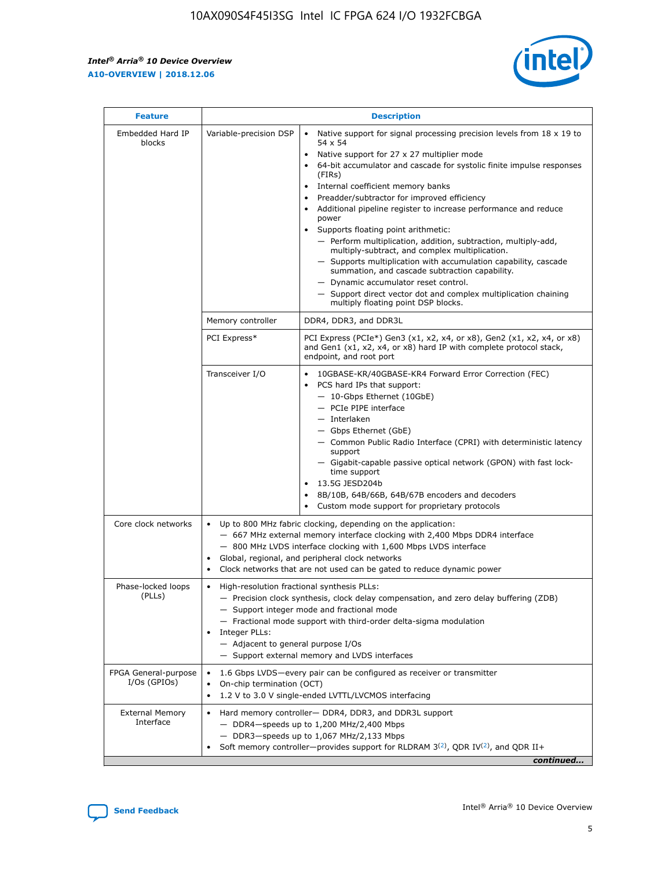r



| <b>Feature</b>                         |                                                                                                                | <b>Description</b>                                                                                                                                                                                                                                                                                                                                                                                                                                                                                                                                                                                                                                                                                                                                                                                                                                  |
|----------------------------------------|----------------------------------------------------------------------------------------------------------------|-----------------------------------------------------------------------------------------------------------------------------------------------------------------------------------------------------------------------------------------------------------------------------------------------------------------------------------------------------------------------------------------------------------------------------------------------------------------------------------------------------------------------------------------------------------------------------------------------------------------------------------------------------------------------------------------------------------------------------------------------------------------------------------------------------------------------------------------------------|
| Embedded Hard IP<br>blocks             | Variable-precision DSP                                                                                         | Native support for signal processing precision levels from $18 \times 19$ to<br>$\bullet$<br>54 x 54<br>Native support for 27 x 27 multiplier mode<br>64-bit accumulator and cascade for systolic finite impulse responses<br>(FIRs)<br>Internal coefficient memory banks<br>$\bullet$<br>Preadder/subtractor for improved efficiency<br>Additional pipeline register to increase performance and reduce<br>power<br>Supports floating point arithmetic:<br>- Perform multiplication, addition, subtraction, multiply-add,<br>multiply-subtract, and complex multiplication.<br>- Supports multiplication with accumulation capability, cascade<br>summation, and cascade subtraction capability.<br>- Dynamic accumulator reset control.<br>- Support direct vector dot and complex multiplication chaining<br>multiply floating point DSP blocks. |
|                                        | Memory controller                                                                                              | DDR4, DDR3, and DDR3L                                                                                                                                                                                                                                                                                                                                                                                                                                                                                                                                                                                                                                                                                                                                                                                                                               |
|                                        | PCI Express*                                                                                                   | PCI Express (PCIe*) Gen3 (x1, x2, x4, or x8), Gen2 (x1, x2, x4, or x8)<br>and Gen1 (x1, x2, x4, or x8) hard IP with complete protocol stack,<br>endpoint, and root port                                                                                                                                                                                                                                                                                                                                                                                                                                                                                                                                                                                                                                                                             |
|                                        | Transceiver I/O                                                                                                | 10GBASE-KR/40GBASE-KR4 Forward Error Correction (FEC)<br>PCS hard IPs that support:<br>- 10-Gbps Ethernet (10GbE)<br>- PCIe PIPE interface<br>$-$ Interlaken<br>- Gbps Ethernet (GbE)<br>- Common Public Radio Interface (CPRI) with deterministic latency<br>support<br>- Gigabit-capable passive optical network (GPON) with fast lock-<br>time support<br>13.5G JESD204b<br>$\bullet$<br>8B/10B, 64B/66B, 64B/67B encoders and decoders<br>Custom mode support for proprietary protocols                                                                                                                                                                                                                                                                                                                                                         |
| Core clock networks                    | $\bullet$                                                                                                      | Up to 800 MHz fabric clocking, depending on the application:<br>- 667 MHz external memory interface clocking with 2,400 Mbps DDR4 interface<br>- 800 MHz LVDS interface clocking with 1,600 Mbps LVDS interface<br>Global, regional, and peripheral clock networks<br>Clock networks that are not used can be gated to reduce dynamic power                                                                                                                                                                                                                                                                                                                                                                                                                                                                                                         |
| Phase-locked loops<br>(PLLs)           | High-resolution fractional synthesis PLLs:<br>$\bullet$<br>Integer PLLs:<br>- Adjacent to general purpose I/Os | - Precision clock synthesis, clock delay compensation, and zero delay buffering (ZDB)<br>- Support integer mode and fractional mode<br>- Fractional mode support with third-order delta-sigma modulation<br>- Support external memory and LVDS interfaces                                                                                                                                                                                                                                                                                                                                                                                                                                                                                                                                                                                           |
| FPGA General-purpose<br>$I/Os$ (GPIOs) | On-chip termination (OCT)<br>$\bullet$                                                                         | 1.6 Gbps LVDS—every pair can be configured as receiver or transmitter<br>1.2 V to 3.0 V single-ended LVTTL/LVCMOS interfacing                                                                                                                                                                                                                                                                                                                                                                                                                                                                                                                                                                                                                                                                                                                       |
| <b>External Memory</b><br>Interface    | $\bullet$                                                                                                      | Hard memory controller- DDR4, DDR3, and DDR3L support<br>$-$ DDR4 $-$ speeds up to 1,200 MHz/2,400 Mbps<br>- DDR3-speeds up to 1,067 MHz/2,133 Mbps<br>Soft memory controller—provides support for RLDRAM $3^{(2)}$ , QDR IV $^{(2)}$ , and QDR II+<br>continued                                                                                                                                                                                                                                                                                                                                                                                                                                                                                                                                                                                    |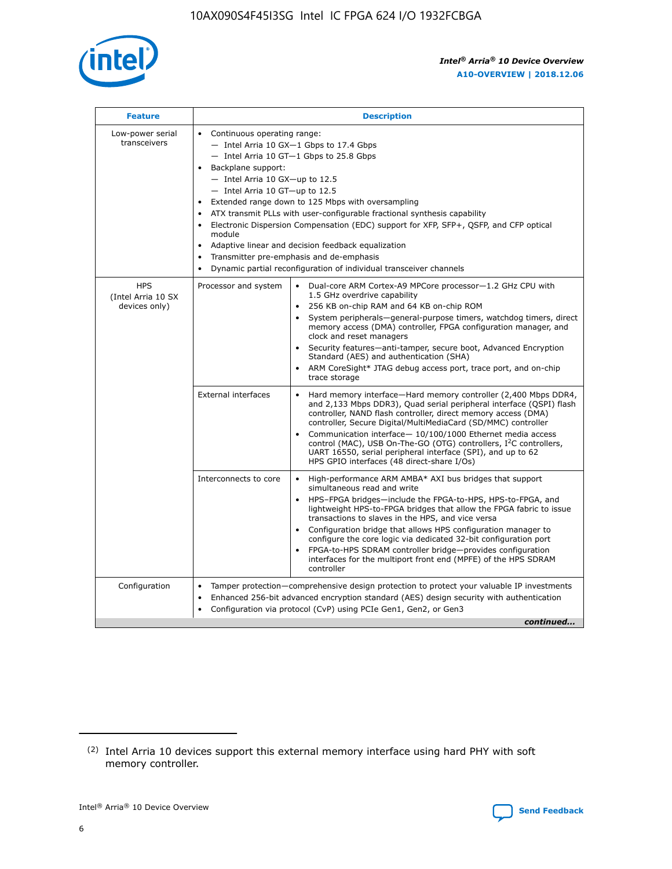

| <b>Feature</b>                                    | <b>Description</b>                                                                                                                                                                                                                                                                                                                                                                                                                                                                                                                                                                                                                                      |  |  |  |  |  |  |  |  |
|---------------------------------------------------|---------------------------------------------------------------------------------------------------------------------------------------------------------------------------------------------------------------------------------------------------------------------------------------------------------------------------------------------------------------------------------------------------------------------------------------------------------------------------------------------------------------------------------------------------------------------------------------------------------------------------------------------------------|--|--|--|--|--|--|--|--|
| Low-power serial<br>transceivers                  | • Continuous operating range:<br>- Intel Arria 10 GX-1 Gbps to 17.4 Gbps<br>- Intel Arria 10 GT-1 Gbps to 25.8 Gbps<br>Backplane support:<br>$-$ Intel Arria 10 GX-up to 12.5<br>- Intel Arria 10 GT-up to 12.5<br>Extended range down to 125 Mbps with oversampling<br>ATX transmit PLLs with user-configurable fractional synthesis capability<br>• Electronic Dispersion Compensation (EDC) support for XFP, SFP+, QSFP, and CFP optical<br>module<br>Adaptive linear and decision feedback equalization<br>$\bullet$<br>Transmitter pre-emphasis and de-emphasis<br>$\bullet$<br>Dynamic partial reconfiguration of individual transceiver channels |  |  |  |  |  |  |  |  |
| <b>HPS</b><br>(Intel Arria 10 SX<br>devices only) | Processor and system<br>Dual-core ARM Cortex-A9 MPCore processor-1.2 GHz CPU with<br>$\bullet$<br>1.5 GHz overdrive capability<br>• 256 KB on-chip RAM and 64 KB on-chip ROM<br>System peripherals-general-purpose timers, watchdog timers, direct<br>memory access (DMA) controller, FPGA configuration manager, and<br>clock and reset managers<br>• Security features—anti-tamper, secure boot, Advanced Encryption<br>Standard (AES) and authentication (SHA)<br>ARM CoreSight* JTAG debug access port, trace port, and on-chip<br>trace storage                                                                                                    |  |  |  |  |  |  |  |  |
|                                                   | <b>External interfaces</b><br>Hard memory interface—Hard memory controller (2,400 Mbps DDR4,<br>$\bullet$<br>and 2,133 Mbps DDR3), Quad serial peripheral interface (QSPI) flash<br>controller, NAND flash controller, direct memory access (DMA)<br>controller, Secure Digital/MultiMediaCard (SD/MMC) controller<br>Communication interface-10/100/1000 Ethernet media access<br>control (MAC), USB On-The-GO (OTG) controllers, I <sup>2</sup> C controllers,<br>UART 16550, serial peripheral interface (SPI), and up to 62<br>HPS GPIO interfaces (48 direct-share I/Os)                                                                           |  |  |  |  |  |  |  |  |
|                                                   | High-performance ARM AMBA* AXI bus bridges that support<br>Interconnects to core<br>$\bullet$<br>simultaneous read and write<br>HPS-FPGA bridges—include the FPGA-to-HPS, HPS-to-FPGA, and<br>lightweight HPS-to-FPGA bridges that allow the FPGA fabric to issue<br>transactions to slaves in the HPS, and vice versa<br>Configuration bridge that allows HPS configuration manager to<br>configure the core logic via dedicated 32-bit configuration port<br>FPGA-to-HPS SDRAM controller bridge-provides configuration<br>interfaces for the multiport front end (MPFE) of the HPS SDRAM<br>controller                                               |  |  |  |  |  |  |  |  |
| Configuration                                     | Tamper protection—comprehensive design protection to protect your valuable IP investments<br>Enhanced 256-bit advanced encryption standard (AES) design security with authentication<br>٠<br>Configuration via protocol (CvP) using PCIe Gen1, Gen2, or Gen3<br>continued                                                                                                                                                                                                                                                                                                                                                                               |  |  |  |  |  |  |  |  |

<sup>(2)</sup> Intel Arria 10 devices support this external memory interface using hard PHY with soft memory controller.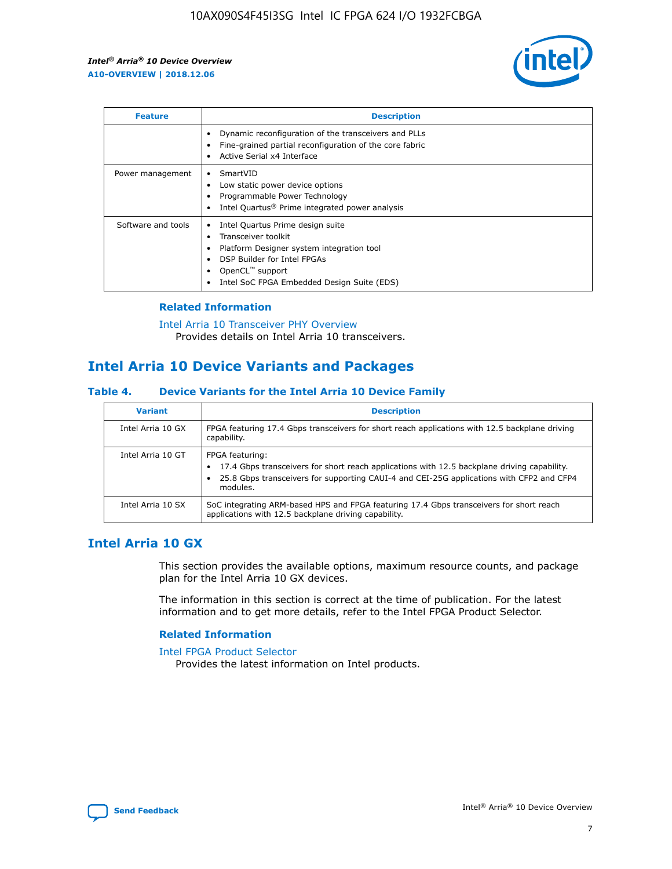

| <b>Feature</b>     | <b>Description</b>                                                                                                                                                                                               |
|--------------------|------------------------------------------------------------------------------------------------------------------------------------------------------------------------------------------------------------------|
|                    | Dynamic reconfiguration of the transceivers and PLLs<br>Fine-grained partial reconfiguration of the core fabric<br>Active Serial x4 Interface<br>$\bullet$                                                       |
| Power management   | SmartVID<br>Low static power device options<br>Programmable Power Technology<br>Intel Quartus <sup>®</sup> Prime integrated power analysis                                                                       |
| Software and tools | Intel Quartus Prime design suite<br>Transceiver toolkit<br>Platform Designer system integration tool<br>DSP Builder for Intel FPGAs<br>OpenCL <sup>™</sup> support<br>Intel SoC FPGA Embedded Design Suite (EDS) |

## **Related Information**

[Intel Arria 10 Transceiver PHY Overview](https://www.intel.com/content/www/us/en/programmable/documentation/nik1398707230472.html#nik1398706768037) Provides details on Intel Arria 10 transceivers.

# **Intel Arria 10 Device Variants and Packages**

#### **Table 4. Device Variants for the Intel Arria 10 Device Family**

| <b>Variant</b>    | <b>Description</b>                                                                                                                                                                                                     |
|-------------------|------------------------------------------------------------------------------------------------------------------------------------------------------------------------------------------------------------------------|
| Intel Arria 10 GX | FPGA featuring 17.4 Gbps transceivers for short reach applications with 12.5 backplane driving<br>capability.                                                                                                          |
| Intel Arria 10 GT | FPGA featuring:<br>17.4 Gbps transceivers for short reach applications with 12.5 backplane driving capability.<br>25.8 Gbps transceivers for supporting CAUI-4 and CEI-25G applications with CFP2 and CFP4<br>modules. |
| Intel Arria 10 SX | SoC integrating ARM-based HPS and FPGA featuring 17.4 Gbps transceivers for short reach<br>applications with 12.5 backplane driving capability.                                                                        |

# **Intel Arria 10 GX**

This section provides the available options, maximum resource counts, and package plan for the Intel Arria 10 GX devices.

The information in this section is correct at the time of publication. For the latest information and to get more details, refer to the Intel FPGA Product Selector.

#### **Related Information**

#### [Intel FPGA Product Selector](http://www.altera.com/products/selector/psg-selector.html) Provides the latest information on Intel products.

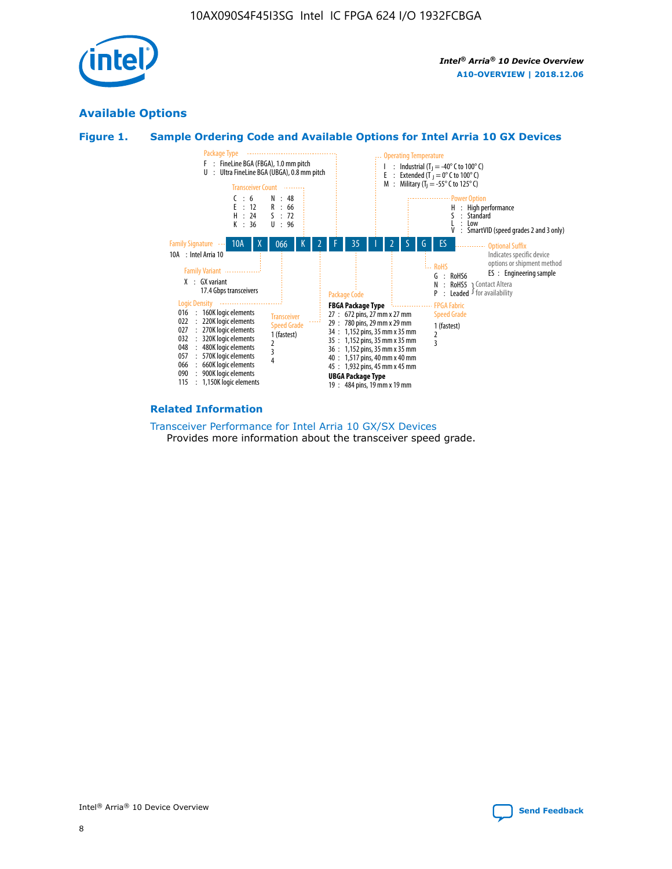

# **Available Options**





#### **Related Information**

[Transceiver Performance for Intel Arria 10 GX/SX Devices](https://www.intel.com/content/www/us/en/programmable/documentation/mcn1413182292568.html#mcn1413213965502) Provides more information about the transceiver speed grade.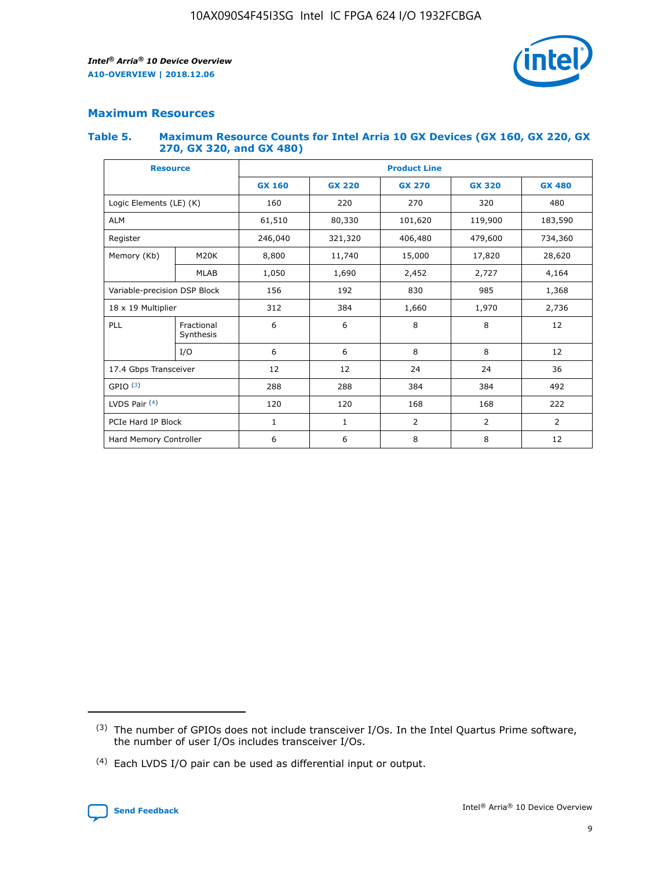

# **Maximum Resources**

#### **Table 5. Maximum Resource Counts for Intel Arria 10 GX Devices (GX 160, GX 220, GX 270, GX 320, and GX 480)**

| <b>Resource</b>              |                         | <b>Product Line</b> |                                                 |                |                |                |  |  |  |
|------------------------------|-------------------------|---------------------|-------------------------------------------------|----------------|----------------|----------------|--|--|--|
|                              |                         | <b>GX 160</b>       | <b>GX 220</b><br><b>GX 270</b><br><b>GX 320</b> |                |                | <b>GX 480</b>  |  |  |  |
| Logic Elements (LE) (K)      |                         | 160                 | 220                                             | 270            | 320            | 480            |  |  |  |
| <b>ALM</b>                   |                         | 61,510              | 80,330                                          | 101,620        | 119,900        | 183,590        |  |  |  |
| Register                     |                         | 246,040             | 406,480<br>321,320                              |                | 479,600        | 734,360        |  |  |  |
| Memory (Kb)                  | M <sub>20</sub> K       | 8,800               | 11,740                                          | 15,000         | 17,820         | 28,620         |  |  |  |
|                              | <b>MLAB</b>             | 1,050               | 1,690                                           | 2,452          | 2,727          | 4,164          |  |  |  |
| Variable-precision DSP Block |                         | 156                 | 192                                             | 830            | 985            | 1,368          |  |  |  |
| 18 x 19 Multiplier           |                         | 312                 | 384                                             | 1,970<br>1,660 |                | 2,736          |  |  |  |
| PLL                          | Fractional<br>Synthesis | 6                   | 6                                               | 8              | 8              | 12             |  |  |  |
|                              | I/O                     | 6                   | 6                                               | 8              | 8              | 12             |  |  |  |
| 17.4 Gbps Transceiver        |                         | 12                  | 12                                              | 24             | 24             | 36             |  |  |  |
| GPIO <sup>(3)</sup>          |                         | 288                 | 288                                             | 384            | 384            |                |  |  |  |
| LVDS Pair $(4)$              |                         | 120                 | 120                                             | 168            | 168            | 222            |  |  |  |
| PCIe Hard IP Block           |                         | 1                   | 1                                               | 2              | $\overline{2}$ | $\overline{2}$ |  |  |  |
| Hard Memory Controller       |                         | 6                   | 6                                               | 8              | 8              | 12             |  |  |  |

<sup>(4)</sup> Each LVDS I/O pair can be used as differential input or output.



<sup>(3)</sup> The number of GPIOs does not include transceiver I/Os. In the Intel Quartus Prime software, the number of user I/Os includes transceiver I/Os.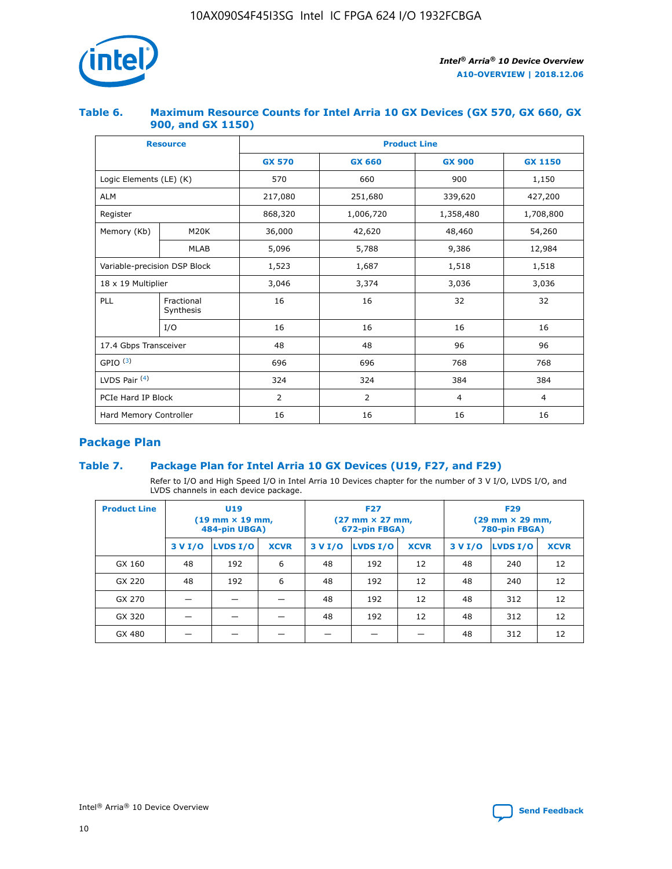

## **Table 6. Maximum Resource Counts for Intel Arria 10 GX Devices (GX 570, GX 660, GX 900, and GX 1150)**

|                              | <b>Resource</b>         | <b>Product Line</b> |               |                |                |  |  |  |
|------------------------------|-------------------------|---------------------|---------------|----------------|----------------|--|--|--|
|                              |                         | <b>GX 570</b>       | <b>GX 660</b> | <b>GX 900</b>  | <b>GX 1150</b> |  |  |  |
| Logic Elements (LE) (K)      |                         | 570                 | 660           | 900            | 1,150          |  |  |  |
| <b>ALM</b>                   |                         | 217,080             | 251,680       | 339,620        | 427,200        |  |  |  |
| Register                     |                         | 868,320             | 1,006,720     | 1,358,480      | 1,708,800      |  |  |  |
| Memory (Kb)                  | M <sub>20</sub> K       | 36,000              | 42,620        | 48,460         | 54,260         |  |  |  |
|                              | <b>MLAB</b>             | 5,096               | 5,788         |                | 12,984         |  |  |  |
| Variable-precision DSP Block |                         | 1,523               | 1,687         | 1,518          | 1,518          |  |  |  |
| $18 \times 19$ Multiplier    |                         | 3,046               | 3,374         | 3,036          | 3,036          |  |  |  |
| PLL                          | Fractional<br>Synthesis | 16                  | 16            | 32             | 32             |  |  |  |
|                              | I/O                     | 16                  | 16            | 16             | 16             |  |  |  |
| 17.4 Gbps Transceiver        |                         | 48                  | 48            | 96             | 96             |  |  |  |
| GPIO <sup>(3)</sup>          |                         | 696                 | 696           | 768            | 768            |  |  |  |
| LVDS Pair $(4)$              |                         | 324                 | 324           | 384            | 384            |  |  |  |
| PCIe Hard IP Block           |                         | 2                   | 2             | $\overline{4}$ | $\overline{4}$ |  |  |  |
| Hard Memory Controller       |                         | 16                  | 16            | 16             | 16             |  |  |  |

# **Package Plan**

# **Table 7. Package Plan for Intel Arria 10 GX Devices (U19, F27, and F29)**

Refer to I/O and High Speed I/O in Intel Arria 10 Devices chapter for the number of 3 V I/O, LVDS I/O, and LVDS channels in each device package.

| <b>Product Line</b> | U <sub>19</sub><br>$(19 \text{ mm} \times 19 \text{ mm})$<br>484-pin UBGA) |          |             |         | <b>F27</b><br>(27 mm × 27 mm,<br>672-pin FBGA) |             | <b>F29</b><br>(29 mm × 29 mm,<br>780-pin FBGA) |          |             |  |
|---------------------|----------------------------------------------------------------------------|----------|-------------|---------|------------------------------------------------|-------------|------------------------------------------------|----------|-------------|--|
|                     | 3 V I/O                                                                    | LVDS I/O | <b>XCVR</b> | 3 V I/O | <b>LVDS I/O</b>                                | <b>XCVR</b> | 3 V I/O                                        | LVDS I/O | <b>XCVR</b> |  |
| GX 160              | 48                                                                         | 192      | 6           | 48      | 192                                            | 12          | 48                                             | 240      | 12          |  |
| GX 220              | 48                                                                         | 192      | 6           | 48      | 192                                            | 12          | 48                                             | 240      | 12          |  |
| GX 270              |                                                                            |          |             | 48      | 192                                            | 12          | 48                                             | 312      | 12          |  |
| GX 320              |                                                                            |          |             | 48      | 192                                            | 12          | 48                                             | 312      | 12          |  |
| GX 480              |                                                                            |          |             |         |                                                |             | 48                                             | 312      | 12          |  |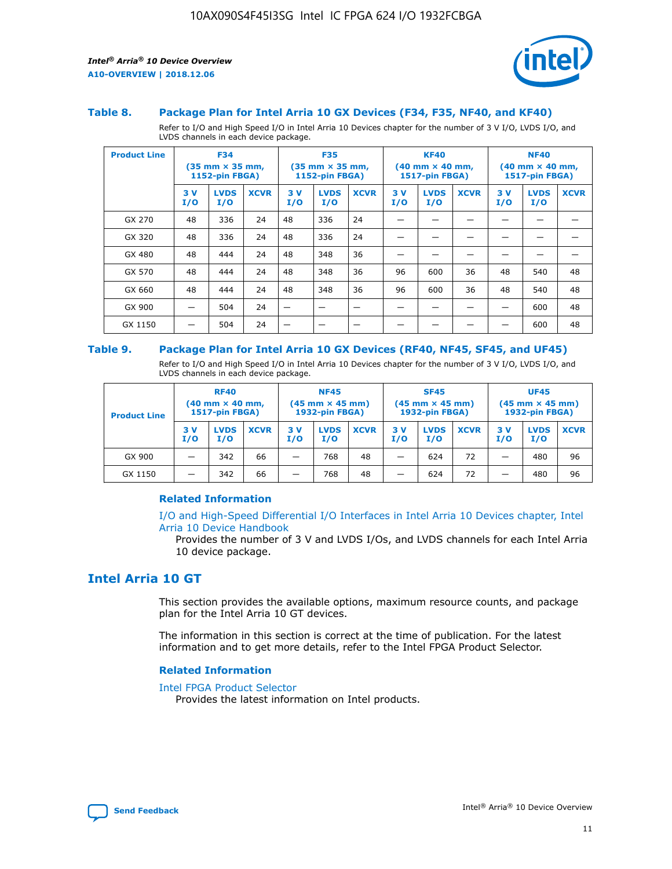

#### **Table 8. Package Plan for Intel Arria 10 GX Devices (F34, F35, NF40, and KF40)**

Refer to I/O and High Speed I/O in Intel Arria 10 Devices chapter for the number of 3 V I/O, LVDS I/O, and LVDS channels in each device package.

| <b>Product Line</b> | <b>F34</b><br>$(35 \text{ mm} \times 35 \text{ mm})$<br>1152-pin FBGA) |                    | <b>F35</b><br>$(35 \text{ mm} \times 35 \text{ mm})$<br><b>1152-pin FBGA)</b> |           | <b>KF40</b><br>$(40$ mm $\times$ 40 mm,<br>1517-pin FBGA) |             |           | <b>NF40</b><br>$(40 \text{ mm} \times 40 \text{ mm})$<br><b>1517-pin FBGA)</b> |             |            |                    |             |
|---------------------|------------------------------------------------------------------------|--------------------|-------------------------------------------------------------------------------|-----------|-----------------------------------------------------------|-------------|-----------|--------------------------------------------------------------------------------|-------------|------------|--------------------|-------------|
|                     | 3V<br>I/O                                                              | <b>LVDS</b><br>I/O | <b>XCVR</b>                                                                   | 3V<br>I/O | <b>LVDS</b><br>I/O                                        | <b>XCVR</b> | 3V<br>I/O | <b>LVDS</b><br>I/O                                                             | <b>XCVR</b> | 3 V<br>I/O | <b>LVDS</b><br>I/O | <b>XCVR</b> |
| GX 270              | 48                                                                     | 336                | 24                                                                            | 48        | 336                                                       | 24          |           |                                                                                |             |            |                    |             |
| GX 320              | 48                                                                     | 336                | 24                                                                            | 48        | 336                                                       | 24          |           |                                                                                |             |            |                    |             |
| GX 480              | 48                                                                     | 444                | 24                                                                            | 48        | 348                                                       | 36          |           |                                                                                |             |            |                    |             |
| GX 570              | 48                                                                     | 444                | 24                                                                            | 48        | 348                                                       | 36          | 96        | 600                                                                            | 36          | 48         | 540                | 48          |
| GX 660              | 48                                                                     | 444                | 24                                                                            | 48        | 348                                                       | 36          | 96        | 600                                                                            | 36          | 48         | 540                | 48          |
| GX 900              |                                                                        | 504                | 24                                                                            | –         |                                                           |             |           |                                                                                |             |            | 600                | 48          |
| GX 1150             |                                                                        | 504                | 24                                                                            |           |                                                           |             |           |                                                                                |             |            | 600                | 48          |

#### **Table 9. Package Plan for Intel Arria 10 GX Devices (RF40, NF45, SF45, and UF45)**

Refer to I/O and High Speed I/O in Intel Arria 10 Devices chapter for the number of 3 V I/O, LVDS I/O, and LVDS channels in each device package.

| <b>Product Line</b> | <b>RF40</b><br>$(40 \text{ mm} \times 40 \text{ mm})$<br>1517-pin FBGA) |                    | <b>NF45</b><br>$(45 \text{ mm} \times 45 \text{ mm})$<br><b>1932-pin FBGA)</b> |            |                    | <b>SF45</b><br>$(45 \text{ mm} \times 45 \text{ mm})$<br><b>1932-pin FBGA)</b> |            |                    | <b>UF45</b><br>$(45 \text{ mm} \times 45 \text{ mm})$<br>1932-pin FBGA) |           |                    |             |
|---------------------|-------------------------------------------------------------------------|--------------------|--------------------------------------------------------------------------------|------------|--------------------|--------------------------------------------------------------------------------|------------|--------------------|-------------------------------------------------------------------------|-----------|--------------------|-------------|
|                     | 3V<br>I/O                                                               | <b>LVDS</b><br>I/O | <b>XCVR</b>                                                                    | 3 V<br>I/O | <b>LVDS</b><br>I/O | <b>XCVR</b>                                                                    | 3 V<br>I/O | <b>LVDS</b><br>I/O | <b>XCVR</b>                                                             | 3V<br>I/O | <b>LVDS</b><br>I/O | <b>XCVR</b> |
| GX 900              |                                                                         | 342                | 66                                                                             | _          | 768                | 48                                                                             |            | 624                | 72                                                                      |           | 480                | 96          |
| GX 1150             |                                                                         | 342                | 66                                                                             | -          | 768                | 48                                                                             |            | 624                | 72                                                                      |           | 480                | 96          |

#### **Related Information**

[I/O and High-Speed Differential I/O Interfaces in Intel Arria 10 Devices chapter, Intel](https://www.intel.com/content/www/us/en/programmable/documentation/sam1403482614086.html#sam1403482030321) [Arria 10 Device Handbook](https://www.intel.com/content/www/us/en/programmable/documentation/sam1403482614086.html#sam1403482030321)

Provides the number of 3 V and LVDS I/Os, and LVDS channels for each Intel Arria 10 device package.

# **Intel Arria 10 GT**

This section provides the available options, maximum resource counts, and package plan for the Intel Arria 10 GT devices.

The information in this section is correct at the time of publication. For the latest information and to get more details, refer to the Intel FPGA Product Selector.

#### **Related Information**

#### [Intel FPGA Product Selector](http://www.altera.com/products/selector/psg-selector.html)

Provides the latest information on Intel products.

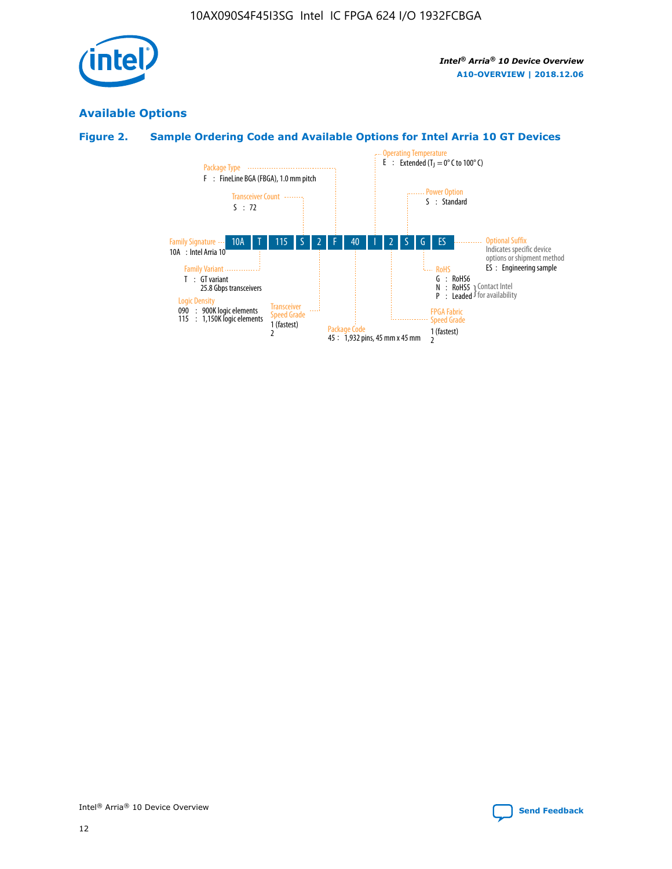

# **Available Options**

# **Figure 2. Sample Ordering Code and Available Options for Intel Arria 10 GT Devices**

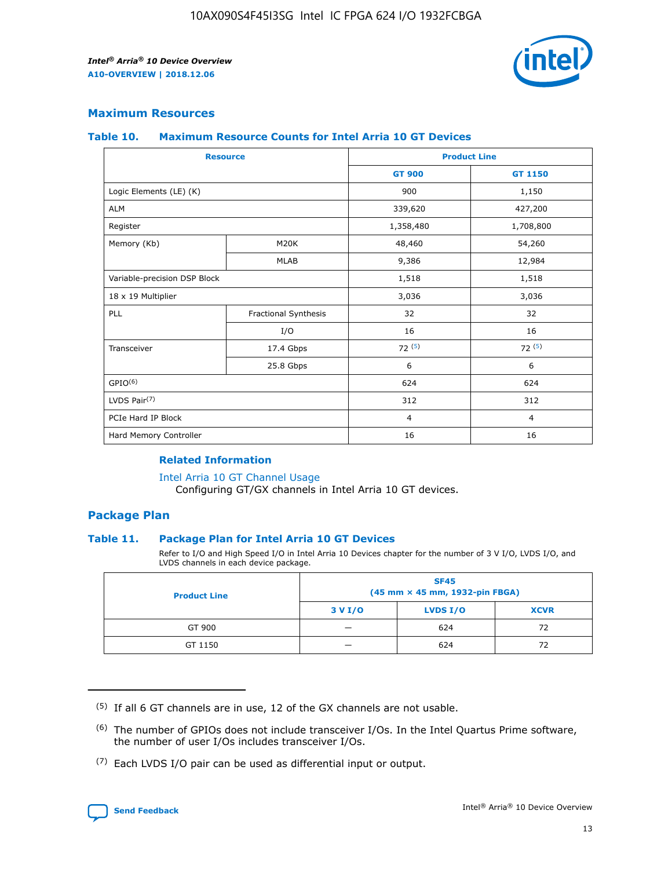

## **Maximum Resources**

#### **Table 10. Maximum Resource Counts for Intel Arria 10 GT Devices**

| <b>Resource</b>              |                      | <b>Product Line</b> |                |  |
|------------------------------|----------------------|---------------------|----------------|--|
|                              |                      | <b>GT 900</b>       | <b>GT 1150</b> |  |
| Logic Elements (LE) (K)      |                      | 900                 | 1,150          |  |
| <b>ALM</b>                   |                      | 339,620             | 427,200        |  |
| Register                     |                      | 1,358,480           | 1,708,800      |  |
| Memory (Kb)                  | M20K                 | 48,460              | 54,260         |  |
|                              | <b>MLAB</b>          | 9,386               | 12,984         |  |
| Variable-precision DSP Block |                      | 1,518               | 1,518          |  |
| 18 x 19 Multiplier           |                      | 3,036               | 3,036          |  |
| PLL                          | Fractional Synthesis | 32                  | 32             |  |
|                              | I/O                  | 16                  | 16             |  |
| Transceiver                  | 17.4 Gbps            | 72(5)               | 72(5)          |  |
|                              | 25.8 Gbps            | 6                   | 6              |  |
| GPIO <sup>(6)</sup>          |                      | 624                 | 624            |  |
| LVDS Pair $(7)$              |                      | 312                 | 312            |  |
| PCIe Hard IP Block           |                      | $\overline{4}$      | $\overline{4}$ |  |
| Hard Memory Controller       |                      | 16                  | 16             |  |

#### **Related Information**

#### [Intel Arria 10 GT Channel Usage](https://www.intel.com/content/www/us/en/programmable/documentation/nik1398707230472.html#nik1398707008178)

Configuring GT/GX channels in Intel Arria 10 GT devices.

## **Package Plan**

#### **Table 11. Package Plan for Intel Arria 10 GT Devices**

Refer to I/O and High Speed I/O in Intel Arria 10 Devices chapter for the number of 3 V I/O, LVDS I/O, and LVDS channels in each device package.

| <b>Product Line</b> | <b>SF45</b><br>(45 mm × 45 mm, 1932-pin FBGA) |                 |             |  |  |  |
|---------------------|-----------------------------------------------|-----------------|-------------|--|--|--|
|                     | 3 V I/O                                       | <b>LVDS I/O</b> | <b>XCVR</b> |  |  |  |
| GT 900              |                                               | 624             | 72          |  |  |  |
| GT 1150             |                                               | 624             | 72          |  |  |  |

<sup>(7)</sup> Each LVDS I/O pair can be used as differential input or output.



 $(5)$  If all 6 GT channels are in use, 12 of the GX channels are not usable.

<sup>(6)</sup> The number of GPIOs does not include transceiver I/Os. In the Intel Quartus Prime software, the number of user I/Os includes transceiver I/Os.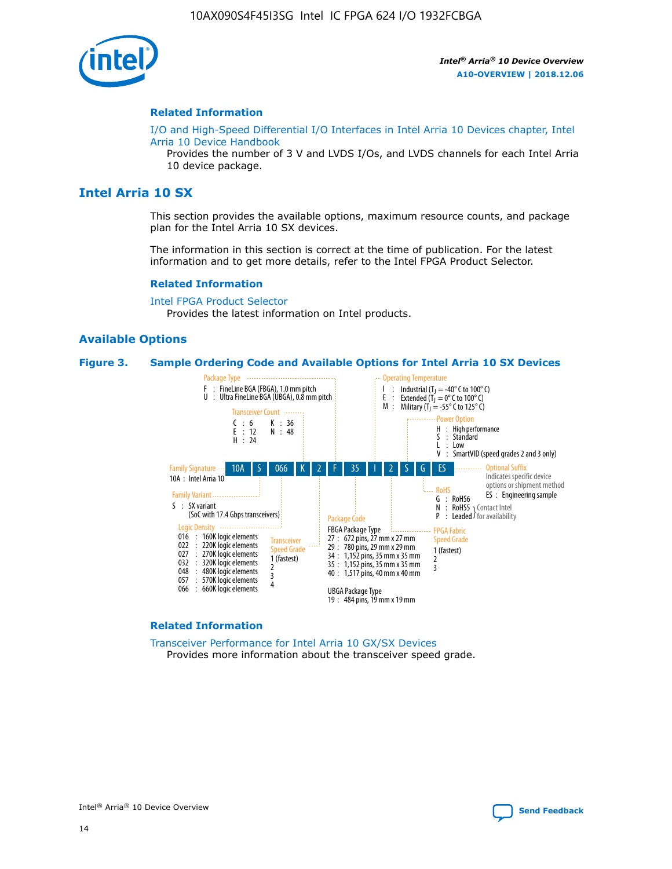

#### **Related Information**

[I/O and High-Speed Differential I/O Interfaces in Intel Arria 10 Devices chapter, Intel](https://www.intel.com/content/www/us/en/programmable/documentation/sam1403482614086.html#sam1403482030321) [Arria 10 Device Handbook](https://www.intel.com/content/www/us/en/programmable/documentation/sam1403482614086.html#sam1403482030321)

Provides the number of 3 V and LVDS I/Os, and LVDS channels for each Intel Arria 10 device package.

# **Intel Arria 10 SX**

This section provides the available options, maximum resource counts, and package plan for the Intel Arria 10 SX devices.

The information in this section is correct at the time of publication. For the latest information and to get more details, refer to the Intel FPGA Product Selector.

#### **Related Information**

[Intel FPGA Product Selector](http://www.altera.com/products/selector/psg-selector.html) Provides the latest information on Intel products.

#### **Available Options**

#### **Figure 3. Sample Ordering Code and Available Options for Intel Arria 10 SX Devices**



#### **Related Information**

[Transceiver Performance for Intel Arria 10 GX/SX Devices](https://www.intel.com/content/www/us/en/programmable/documentation/mcn1413182292568.html#mcn1413213965502) Provides more information about the transceiver speed grade.



Intel® Arria® 10 Device Overview **[Send Feedback](mailto:FPGAtechdocfeedback@intel.com?subject=Feedback%20on%20Intel%20Arria%2010%20Device%20Overview%20(A10-OVERVIEW%202018.12.06)&body=We%20appreciate%20your%20feedback.%20In%20your%20comments,%20also%20specify%20the%20page%20number%20or%20paragraph.%20Thank%20you.)**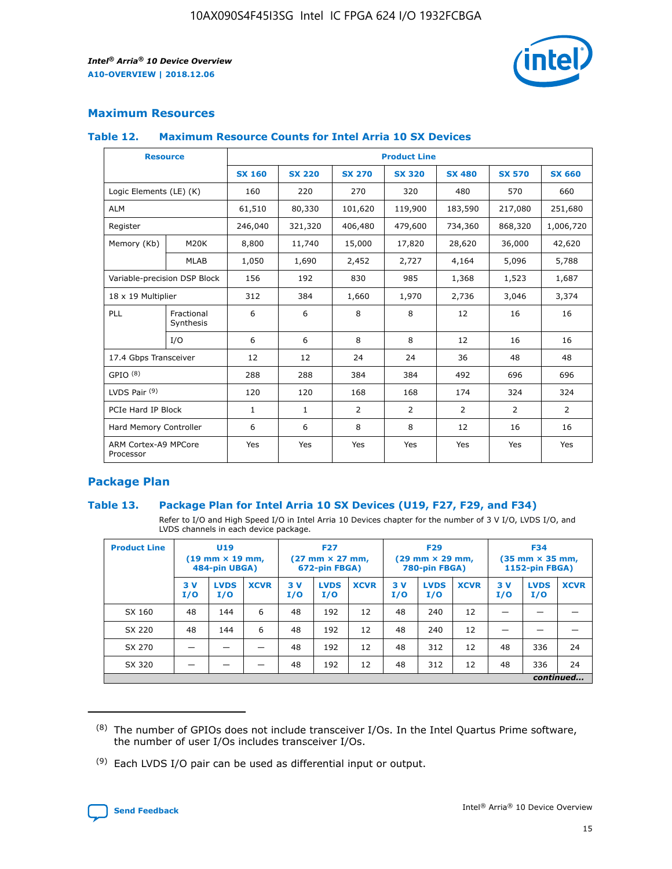

# **Maximum Resources**

#### **Table 12. Maximum Resource Counts for Intel Arria 10 SX Devices**

|                                   | <b>Resource</b>         | <b>Product Line</b> |               |                |                |                |                |                |  |  |  |
|-----------------------------------|-------------------------|---------------------|---------------|----------------|----------------|----------------|----------------|----------------|--|--|--|
|                                   |                         | <b>SX 160</b>       | <b>SX 220</b> | <b>SX 270</b>  | <b>SX 320</b>  | <b>SX 480</b>  | <b>SX 570</b>  | <b>SX 660</b>  |  |  |  |
| Logic Elements (LE) (K)           |                         | 160                 | 220           | 270            | 320            | 480            | 570            | 660            |  |  |  |
| <b>ALM</b>                        |                         | 61,510              | 80,330        | 101,620        | 119,900        | 183,590        | 217,080        | 251,680        |  |  |  |
| Register                          |                         | 246,040             | 321,320       | 406,480        | 479,600        | 734,360        | 868,320        | 1,006,720      |  |  |  |
| Memory (Kb)                       | M <sub>20</sub> K       | 8,800               | 11,740        | 15,000         | 17,820         | 28,620         | 36,000         | 42,620         |  |  |  |
|                                   | <b>MLAB</b>             | 1,050               | 1,690         | 2,452          | 2,727          | 4,164          | 5,096          | 5,788          |  |  |  |
| Variable-precision DSP Block      |                         | 156                 | 192           | 830            | 985            | 1,368          | 1,523          | 1,687          |  |  |  |
| 18 x 19 Multiplier                |                         | 312                 | 384           | 1,660          | 1,970          | 2,736          | 3,046          | 3,374          |  |  |  |
| <b>PLL</b>                        | Fractional<br>Synthesis | 6                   | 6             | 8              | 8              | 12             | 16             | 16             |  |  |  |
|                                   | I/O                     | 6                   | 6             | 8              | 8              | 12             | 16             | 16             |  |  |  |
| 17.4 Gbps Transceiver             |                         | 12                  | 12            | 24             | 24             | 36             | 48             | 48             |  |  |  |
| GPIO <sup>(8)</sup>               |                         | 288                 | 288           | 384            | 384            | 492            | 696            | 696            |  |  |  |
| LVDS Pair $(9)$                   |                         | 120                 | 120           | 168            | 168            | 174            | 324            | 324            |  |  |  |
| PCIe Hard IP Block                |                         | $\mathbf{1}$        | $\mathbf{1}$  | $\overline{2}$ | $\overline{2}$ | $\overline{2}$ | $\overline{2}$ | $\overline{2}$ |  |  |  |
| Hard Memory Controller            |                         | 6                   | 6             | 8              | 8              | 12             | 16             | 16             |  |  |  |
| ARM Cortex-A9 MPCore<br>Processor |                         | Yes                 | Yes           | Yes            | Yes            | Yes            | Yes            | Yes            |  |  |  |

# **Package Plan**

#### **Table 13. Package Plan for Intel Arria 10 SX Devices (U19, F27, F29, and F34)**

Refer to I/O and High Speed I/O in Intel Arria 10 Devices chapter for the number of 3 V I/O, LVDS I/O, and LVDS channels in each device package.

| <b>Product Line</b> | <b>U19</b><br>$(19$ mm $\times$ 19 mm,<br>484-pin UBGA) |                    |             | <b>F27</b><br>$(27 \text{ mm} \times 27 \text{ mm})$<br>672-pin FBGA) |                    | <b>F29</b><br>$(29 \text{ mm} \times 29 \text{ mm})$<br>780-pin FBGA) |           |                    | <b>F34</b><br>$(35 \text{ mm} \times 35 \text{ mm})$<br><b>1152-pin FBGA)</b> |           |                    |             |
|---------------------|---------------------------------------------------------|--------------------|-------------|-----------------------------------------------------------------------|--------------------|-----------------------------------------------------------------------|-----------|--------------------|-------------------------------------------------------------------------------|-----------|--------------------|-------------|
|                     | 3V<br>I/O                                               | <b>LVDS</b><br>I/O | <b>XCVR</b> | 3V<br>I/O                                                             | <b>LVDS</b><br>I/O | <b>XCVR</b>                                                           | 3V<br>I/O | <b>LVDS</b><br>I/O | <b>XCVR</b>                                                                   | 3V<br>I/O | <b>LVDS</b><br>I/O | <b>XCVR</b> |
| SX 160              | 48                                                      | 144                | 6           | 48                                                                    | 192                | 12                                                                    | 48        | 240                | 12                                                                            | -         |                    |             |
| SX 220              | 48                                                      | 144                | 6           | 48                                                                    | 192                | 12                                                                    | 48        | 240                | 12                                                                            |           |                    |             |
| SX 270              |                                                         |                    |             | 48                                                                    | 192                | 12                                                                    | 48        | 312                | 12                                                                            | 48        | 336                | 24          |
| SX 320              |                                                         |                    |             | 48                                                                    | 192                | 12                                                                    | 48        | 312                | 12                                                                            | 48        | 336                | 24          |
|                     | continued                                               |                    |             |                                                                       |                    |                                                                       |           |                    |                                                                               |           |                    |             |

 $(8)$  The number of GPIOs does not include transceiver I/Os. In the Intel Quartus Prime software, the number of user I/Os includes transceiver I/Os.

 $(9)$  Each LVDS I/O pair can be used as differential input or output.

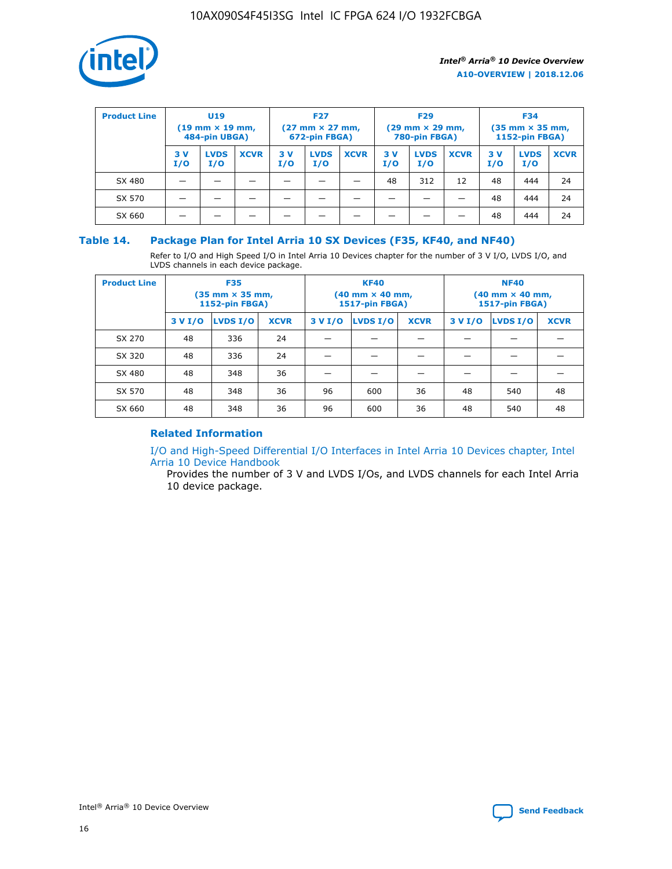

| <b>Product Line</b> | U <sub>19</sub><br>$(19$ mm $\times$ 19 mm,<br>484-pin UBGA) |                    | <b>F27</b><br>$(27 \text{ mm} \times 27 \text{ mm})$<br>672-pin FBGA) |           | <b>F29</b><br>$(29 \text{ mm} \times 29 \text{ mm})$<br>780-pin FBGA) |             |           | <b>F34</b><br>$(35$ mm $\times$ 35 mm,<br>1152-pin FBGA) |             |           |                    |             |
|---------------------|--------------------------------------------------------------|--------------------|-----------------------------------------------------------------------|-----------|-----------------------------------------------------------------------|-------------|-----------|----------------------------------------------------------|-------------|-----------|--------------------|-------------|
|                     | 3 V<br>I/O                                                   | <b>LVDS</b><br>I/O | <b>XCVR</b>                                                           | 3V<br>I/O | <b>LVDS</b><br>I/O                                                    | <b>XCVR</b> | 3V<br>I/O | <b>LVDS</b><br>I/O                                       | <b>XCVR</b> | 3V<br>I/O | <b>LVDS</b><br>I/O | <b>XCVR</b> |
| SX 480              |                                                              |                    |                                                                       |           |                                                                       |             | 48        | 312                                                      | 12          | 48        | 444                | 24          |
| SX 570              |                                                              |                    |                                                                       |           |                                                                       |             |           |                                                          |             | 48        | 444                | 24          |
| SX 660              |                                                              |                    |                                                                       |           |                                                                       |             |           |                                                          |             | 48        | 444                | 24          |

## **Table 14. Package Plan for Intel Arria 10 SX Devices (F35, KF40, and NF40)**

Refer to I/O and High Speed I/O in Intel Arria 10 Devices chapter for the number of 3 V I/O, LVDS I/O, and LVDS channels in each device package.

| <b>Product Line</b> | <b>F35</b><br>(35 mm × 35 mm,<br><b>1152-pin FBGA)</b> |          |             |                                           | <b>KF40</b><br>(40 mm × 40 mm,<br>1517-pin FBGA) |    | <b>NF40</b><br>(40 mm × 40 mm,<br>1517-pin FBGA) |          |             |  |
|---------------------|--------------------------------------------------------|----------|-------------|-------------------------------------------|--------------------------------------------------|----|--------------------------------------------------|----------|-------------|--|
|                     | 3 V I/O                                                | LVDS I/O | <b>XCVR</b> | <b>LVDS I/O</b><br><b>XCVR</b><br>3 V I/O |                                                  |    | 3 V I/O                                          | LVDS I/O | <b>XCVR</b> |  |
| SX 270              | 48                                                     | 336      | 24          |                                           |                                                  |    |                                                  |          |             |  |
| SX 320              | 48                                                     | 336      | 24          |                                           |                                                  |    |                                                  |          |             |  |
| SX 480              | 48                                                     | 348      | 36          |                                           |                                                  |    |                                                  |          |             |  |
| SX 570              | 48                                                     | 348      | 36          | 96                                        | 600                                              | 36 | 48                                               | 540      | 48          |  |
| SX 660              | 48                                                     | 348      | 36          | 96                                        | 600                                              | 36 | 48                                               | 540      | 48          |  |

# **Related Information**

[I/O and High-Speed Differential I/O Interfaces in Intel Arria 10 Devices chapter, Intel](https://www.intel.com/content/www/us/en/programmable/documentation/sam1403482614086.html#sam1403482030321) [Arria 10 Device Handbook](https://www.intel.com/content/www/us/en/programmable/documentation/sam1403482614086.html#sam1403482030321)

Provides the number of 3 V and LVDS I/Os, and LVDS channels for each Intel Arria 10 device package.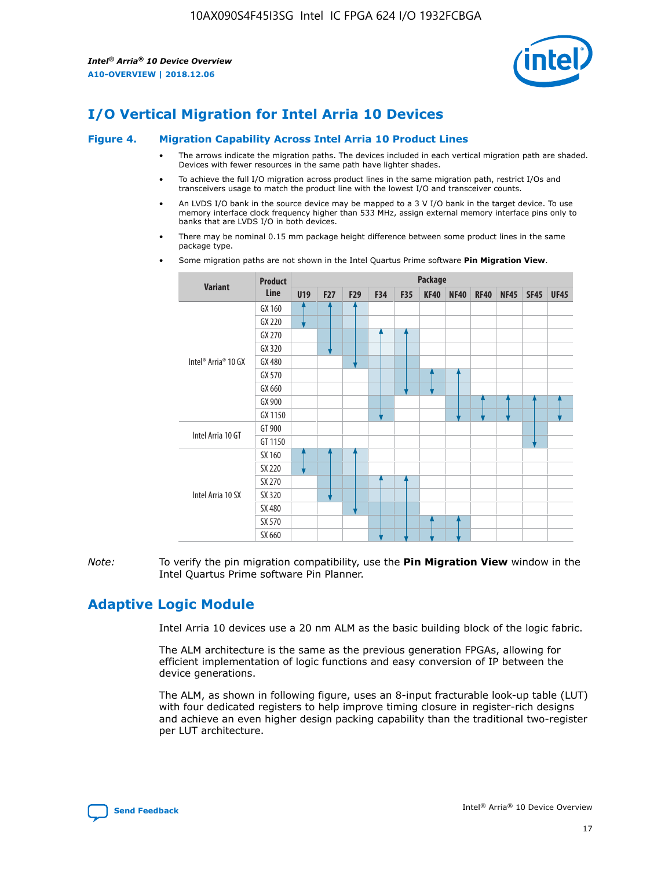

# **I/O Vertical Migration for Intel Arria 10 Devices**

#### **Figure 4. Migration Capability Across Intel Arria 10 Product Lines**

- The arrows indicate the migration paths. The devices included in each vertical migration path are shaded. Devices with fewer resources in the same path have lighter shades.
- To achieve the full I/O migration across product lines in the same migration path, restrict I/Os and transceivers usage to match the product line with the lowest I/O and transceiver counts.
- An LVDS I/O bank in the source device may be mapped to a 3 V I/O bank in the target device. To use memory interface clock frequency higher than 533 MHz, assign external memory interface pins only to banks that are LVDS I/O in both devices.
- There may be nominal 0.15 mm package height difference between some product lines in the same package type.
	- **Variant Product Line Package U19 F27 F29 F34 F35 KF40 NF40 RF40 NF45 SF45 UF45** Intel® Arria® 10 GX GX 160 GX 220 GX 270 GX 320 GX 480 GX 570 GX 660 GX 900 GX 1150 Intel Arria 10 GT GT 900 GT 1150 Intel Arria 10 SX SX 160 SX 220 SX 270 SX 320 SX 480 SX 570 SX 660
- Some migration paths are not shown in the Intel Quartus Prime software **Pin Migration View**.

*Note:* To verify the pin migration compatibility, use the **Pin Migration View** window in the Intel Quartus Prime software Pin Planner.

# **Adaptive Logic Module**

Intel Arria 10 devices use a 20 nm ALM as the basic building block of the logic fabric.

The ALM architecture is the same as the previous generation FPGAs, allowing for efficient implementation of logic functions and easy conversion of IP between the device generations.

The ALM, as shown in following figure, uses an 8-input fracturable look-up table (LUT) with four dedicated registers to help improve timing closure in register-rich designs and achieve an even higher design packing capability than the traditional two-register per LUT architecture.

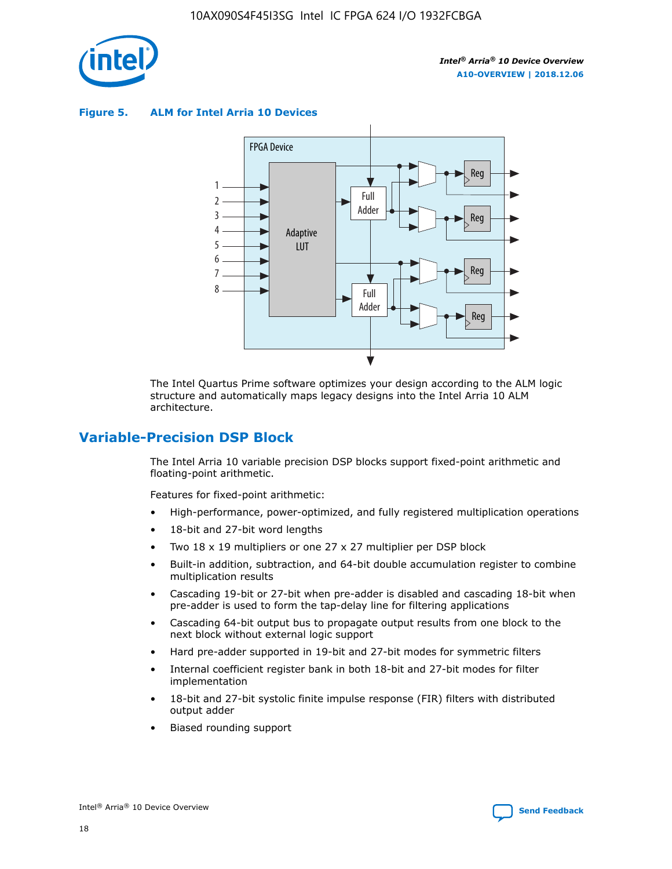

**Figure 5. ALM for Intel Arria 10 Devices**



The Intel Quartus Prime software optimizes your design according to the ALM logic structure and automatically maps legacy designs into the Intel Arria 10 ALM architecture.

# **Variable-Precision DSP Block**

The Intel Arria 10 variable precision DSP blocks support fixed-point arithmetic and floating-point arithmetic.

Features for fixed-point arithmetic:

- High-performance, power-optimized, and fully registered multiplication operations
- 18-bit and 27-bit word lengths
- Two 18 x 19 multipliers or one 27 x 27 multiplier per DSP block
- Built-in addition, subtraction, and 64-bit double accumulation register to combine multiplication results
- Cascading 19-bit or 27-bit when pre-adder is disabled and cascading 18-bit when pre-adder is used to form the tap-delay line for filtering applications
- Cascading 64-bit output bus to propagate output results from one block to the next block without external logic support
- Hard pre-adder supported in 19-bit and 27-bit modes for symmetric filters
- Internal coefficient register bank in both 18-bit and 27-bit modes for filter implementation
- 18-bit and 27-bit systolic finite impulse response (FIR) filters with distributed output adder
- Biased rounding support

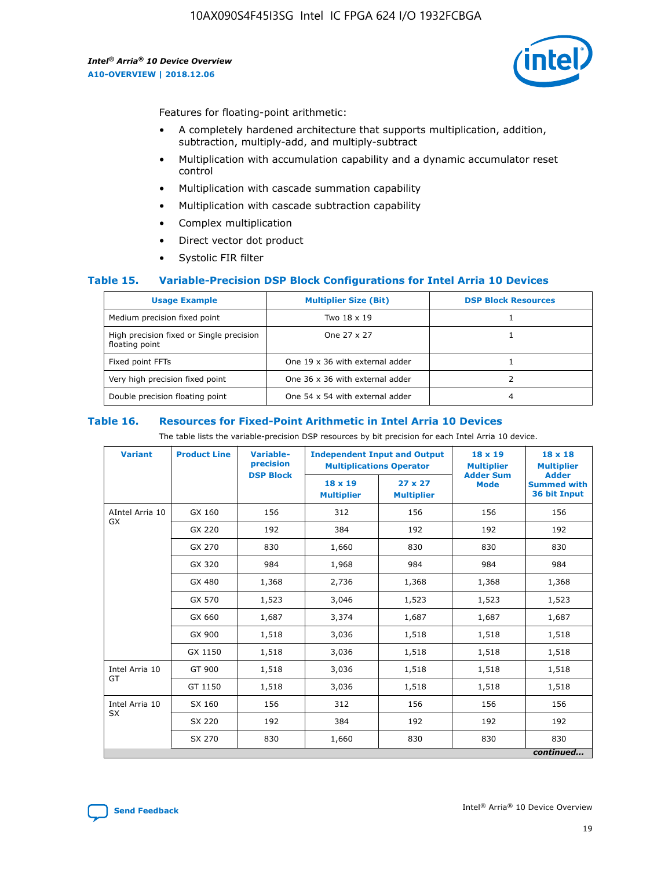

Features for floating-point arithmetic:

- A completely hardened architecture that supports multiplication, addition, subtraction, multiply-add, and multiply-subtract
- Multiplication with accumulation capability and a dynamic accumulator reset control
- Multiplication with cascade summation capability
- Multiplication with cascade subtraction capability
- Complex multiplication
- Direct vector dot product
- Systolic FIR filter

#### **Table 15. Variable-Precision DSP Block Configurations for Intel Arria 10 Devices**

| <b>Usage Example</b>                                       | <b>Multiplier Size (Bit)</b>    | <b>DSP Block Resources</b> |
|------------------------------------------------------------|---------------------------------|----------------------------|
| Medium precision fixed point                               | Two 18 x 19                     |                            |
| High precision fixed or Single precision<br>floating point | One 27 x 27                     |                            |
| Fixed point FFTs                                           | One 19 x 36 with external adder |                            |
| Very high precision fixed point                            | One 36 x 36 with external adder |                            |
| Double precision floating point                            | One 54 x 54 with external adder | 4                          |

#### **Table 16. Resources for Fixed-Point Arithmetic in Intel Arria 10 Devices**

The table lists the variable-precision DSP resources by bit precision for each Intel Arria 10 device.

| <b>Variant</b>  | <b>Product Line</b> | <b>Variable-</b><br>precision<br><b>DSP Block</b> | <b>Independent Input and Output</b><br><b>Multiplications Operator</b> |                                     | 18 x 19<br><b>Multiplier</b><br><b>Adder Sum</b> | $18 \times 18$<br><b>Multiplier</b><br><b>Adder</b> |
|-----------------|---------------------|---------------------------------------------------|------------------------------------------------------------------------|-------------------------------------|--------------------------------------------------|-----------------------------------------------------|
|                 |                     |                                                   | 18 x 19<br><b>Multiplier</b>                                           | $27 \times 27$<br><b>Multiplier</b> | <b>Mode</b>                                      | <b>Summed with</b><br>36 bit Input                  |
| AIntel Arria 10 | GX 160              | 156                                               | 312                                                                    | 156                                 | 156                                              | 156                                                 |
| GX              | GX 220              | 192                                               | 384                                                                    | 192                                 | 192                                              | 192                                                 |
|                 | GX 270              | 830                                               | 1,660                                                                  | 830                                 | 830                                              | 830                                                 |
|                 | GX 320              | 984                                               | 1,968                                                                  | 984                                 | 984                                              | 984                                                 |
|                 | GX 480              | 1,368                                             | 2,736                                                                  | 1,368                               | 1,368                                            | 1,368                                               |
|                 | GX 570              | 1,523                                             | 3,046                                                                  | 1,523                               | 1,523                                            | 1,523                                               |
|                 | GX 660              | 1,687                                             | 3,374                                                                  | 1,687                               | 1,687                                            | 1,687                                               |
|                 | GX 900              | 1,518                                             | 3,036                                                                  | 1,518                               | 1,518                                            | 1,518                                               |
|                 | GX 1150             | 1,518                                             | 3,036                                                                  | 1,518                               | 1,518                                            | 1,518                                               |
| Intel Arria 10  | GT 900              | 1,518                                             | 3,036                                                                  | 1,518                               | 1,518                                            | 1,518                                               |
| GT              | GT 1150             | 1,518                                             | 3,036                                                                  | 1,518                               | 1,518                                            | 1,518                                               |
| Intel Arria 10  | SX 160              | 156                                               | 312                                                                    | 156                                 | 156                                              | 156                                                 |
| <b>SX</b>       | SX 220              | 192                                               | 384                                                                    | 192                                 | 192                                              | 192                                                 |
|                 | SX 270              | 830                                               | 1,660                                                                  | 830                                 | 830                                              | 830                                                 |
|                 |                     |                                                   |                                                                        |                                     |                                                  | continued                                           |

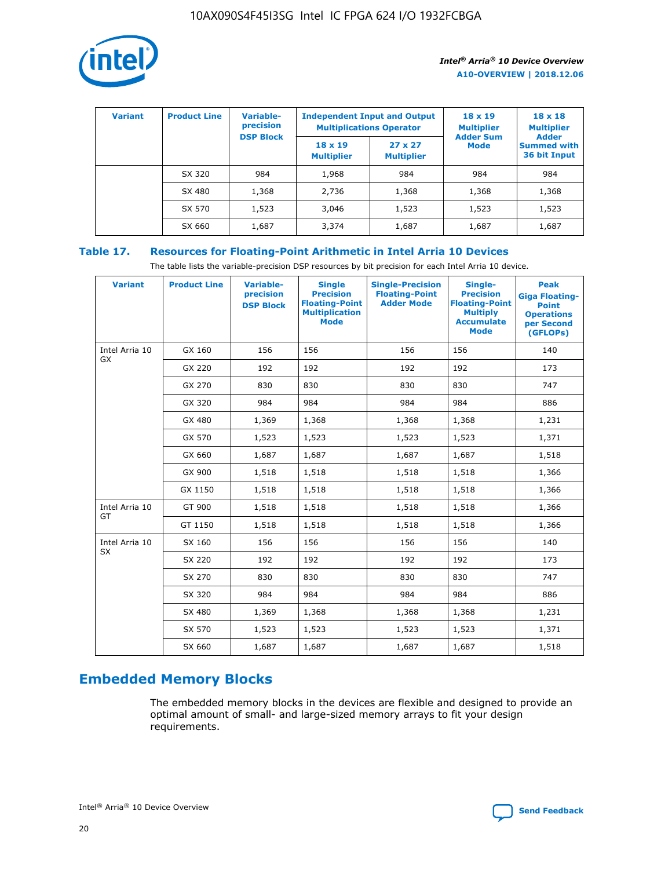

| <b>Variant</b> | <b>Product Line</b> | Variable-<br>precision | <b>Multiplications Operator</b>     | <b>Independent Input and Output</b> | $18 \times 19$<br><b>Multiplier</b> | $18 \times 18$<br><b>Multiplier</b><br><b>Adder</b> |  |
|----------------|---------------------|------------------------|-------------------------------------|-------------------------------------|-------------------------------------|-----------------------------------------------------|--|
|                |                     | <b>DSP Block</b>       | $18 \times 19$<br><b>Multiplier</b> | $27 \times 27$<br><b>Multiplier</b> | <b>Adder Sum</b><br><b>Mode</b>     | <b>Summed with</b><br>36 bit Input                  |  |
|                | SX 320              | 984                    | 1,968                               | 984                                 | 984                                 | 984                                                 |  |
|                | SX 480              | 1,368                  | 2,736                               | 1,368                               | 1,368                               | 1,368                                               |  |
|                | SX 570              | 1,523                  | 3,046                               | 1,523                               | 1,523                               | 1,523                                               |  |
|                | SX 660              | 1,687                  | 3,374                               | 1,687                               | 1,687                               | 1,687                                               |  |

# **Table 17. Resources for Floating-Point Arithmetic in Intel Arria 10 Devices**

The table lists the variable-precision DSP resources by bit precision for each Intel Arria 10 device.

| <b>Variant</b> | <b>Product Line</b> | <b>Variable-</b><br>precision<br><b>DSP Block</b> | <b>Single</b><br><b>Precision</b><br><b>Floating-Point</b><br><b>Multiplication</b><br><b>Mode</b> | <b>Single-Precision</b><br><b>Floating-Point</b><br><b>Adder Mode</b> | Single-<br><b>Precision</b><br><b>Floating-Point</b><br><b>Multiply</b><br><b>Accumulate</b><br><b>Mode</b> | <b>Peak</b><br><b>Giga Floating-</b><br><b>Point</b><br><b>Operations</b><br>per Second<br>(GFLOPs) |
|----------------|---------------------|---------------------------------------------------|----------------------------------------------------------------------------------------------------|-----------------------------------------------------------------------|-------------------------------------------------------------------------------------------------------------|-----------------------------------------------------------------------------------------------------|
| Intel Arria 10 | GX 160              | 156                                               | 156                                                                                                | 156                                                                   | 156                                                                                                         | 140                                                                                                 |
| <b>GX</b>      | GX 220              | 192                                               | 192                                                                                                | 192                                                                   | 192                                                                                                         | 173                                                                                                 |
|                | GX 270              | 830                                               | 830                                                                                                | 830                                                                   | 830                                                                                                         | 747                                                                                                 |
|                | GX 320              | 984                                               | 984                                                                                                | 984                                                                   | 984                                                                                                         | 886                                                                                                 |
|                | GX 480              | 1,369                                             | 1,368                                                                                              | 1,368                                                                 | 1,368                                                                                                       | 1,231                                                                                               |
|                | GX 570              | 1,523                                             | 1,523                                                                                              | 1,523                                                                 | 1,523                                                                                                       | 1,371                                                                                               |
|                | GX 660              | 1,687                                             | 1,687                                                                                              | 1,687                                                                 | 1,687                                                                                                       | 1,518                                                                                               |
|                | GX 900              | 1,518                                             | 1,518                                                                                              | 1,518                                                                 | 1,518                                                                                                       | 1,366                                                                                               |
|                | GX 1150             | 1,518                                             | 1,518                                                                                              | 1,518                                                                 | 1,518                                                                                                       | 1,366                                                                                               |
| Intel Arria 10 | GT 900              | 1,518                                             | 1,518                                                                                              | 1,518                                                                 | 1,518                                                                                                       | 1,366                                                                                               |
| GT             | GT 1150             | 1,518                                             | 1,518                                                                                              | 1,518                                                                 | 1,518                                                                                                       | 1,366                                                                                               |
| Intel Arria 10 | SX 160              | 156                                               | 156                                                                                                | 156                                                                   | 156                                                                                                         | 140                                                                                                 |
| SX             | SX 220              | 192                                               | 192                                                                                                | 192                                                                   | 192                                                                                                         | 173                                                                                                 |
|                | SX 270              | 830                                               | 830                                                                                                | 830                                                                   | 830                                                                                                         | 747                                                                                                 |
|                | SX 320              | 984                                               | 984                                                                                                | 984                                                                   | 984                                                                                                         | 886                                                                                                 |
|                | SX 480              | 1,369                                             | 1,368                                                                                              | 1,368                                                                 | 1,368                                                                                                       | 1,231                                                                                               |
|                | SX 570              | 1,523                                             | 1,523                                                                                              | 1,523                                                                 | 1,523                                                                                                       | 1,371                                                                                               |
|                | SX 660              | 1,687                                             | 1,687                                                                                              | 1,687                                                                 | 1,687                                                                                                       | 1,518                                                                                               |

# **Embedded Memory Blocks**

The embedded memory blocks in the devices are flexible and designed to provide an optimal amount of small- and large-sized memory arrays to fit your design requirements.

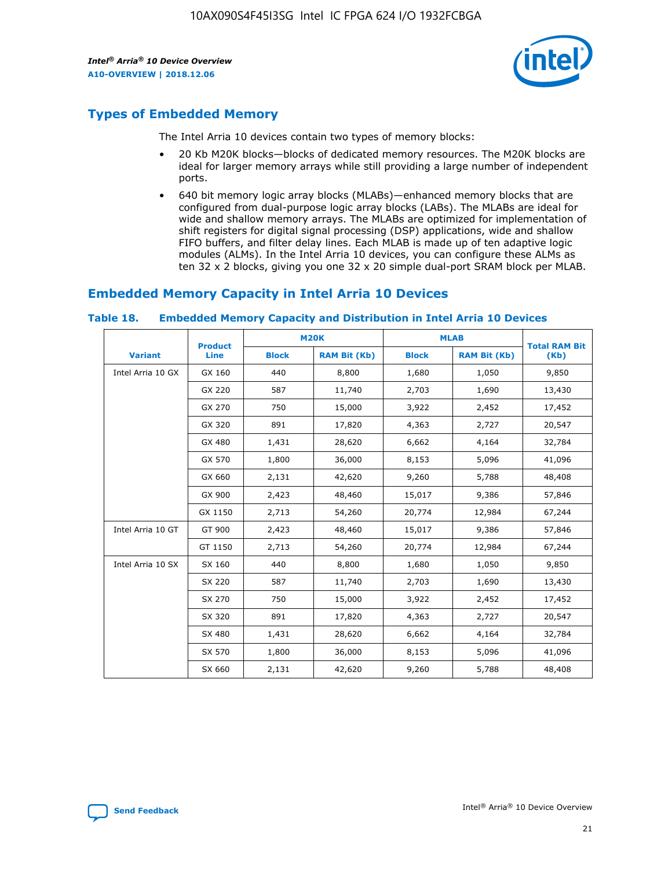

# **Types of Embedded Memory**

The Intel Arria 10 devices contain two types of memory blocks:

- 20 Kb M20K blocks—blocks of dedicated memory resources. The M20K blocks are ideal for larger memory arrays while still providing a large number of independent ports.
- 640 bit memory logic array blocks (MLABs)—enhanced memory blocks that are configured from dual-purpose logic array blocks (LABs). The MLABs are ideal for wide and shallow memory arrays. The MLABs are optimized for implementation of shift registers for digital signal processing (DSP) applications, wide and shallow FIFO buffers, and filter delay lines. Each MLAB is made up of ten adaptive logic modules (ALMs). In the Intel Arria 10 devices, you can configure these ALMs as ten 32 x 2 blocks, giving you one 32 x 20 simple dual-port SRAM block per MLAB.

# **Embedded Memory Capacity in Intel Arria 10 Devices**

|                   | <b>Product</b> |              | <b>M20K</b>         | <b>MLAB</b>  |                     | <b>Total RAM Bit</b> |
|-------------------|----------------|--------------|---------------------|--------------|---------------------|----------------------|
| <b>Variant</b>    | Line           | <b>Block</b> | <b>RAM Bit (Kb)</b> | <b>Block</b> | <b>RAM Bit (Kb)</b> | (Kb)                 |
| Intel Arria 10 GX | GX 160         | 440          | 8,800               | 1,680        | 1,050               | 9,850                |
|                   | GX 220         | 587          | 11,740              | 2,703        | 1,690               | 13,430               |
|                   | GX 270         | 750          | 15,000              | 3,922        | 2,452               | 17,452               |
|                   | GX 320         | 891          | 17,820              | 4,363        | 2,727               | 20,547               |
|                   | GX 480         | 1,431        | 28,620              | 6,662        | 4,164               | 32,784               |
|                   | GX 570         | 1,800        | 36,000              | 8,153        | 5,096               | 41,096               |
|                   | GX 660         | 2,131        | 42,620              | 9,260        | 5,788               | 48,408               |
|                   | GX 900         | 2,423        | 48,460              | 15,017       | 9,386               | 57,846               |
|                   | GX 1150        | 2,713        | 54,260              | 20,774       | 12,984              | 67,244               |
| Intel Arria 10 GT | GT 900         | 2,423        | 48,460              | 15,017       | 9,386               | 57,846               |
|                   | GT 1150        | 2,713        | 54,260              | 20,774       | 12,984              | 67,244               |
| Intel Arria 10 SX | SX 160         | 440          | 8,800               | 1,680        | 1,050               | 9,850                |
|                   | SX 220         | 587          | 11,740              | 2,703        | 1,690               | 13,430               |
|                   | SX 270         | 750          | 15,000              | 3,922        | 2,452               | 17,452               |
|                   | SX 320         | 891          | 17,820              | 4,363        | 2,727               | 20,547               |
|                   | SX 480         | 1,431        | 28,620              | 6,662        | 4,164               | 32,784               |
|                   | SX 570         | 1,800        | 36,000              | 8,153        | 5,096               | 41,096               |
|                   | SX 660         | 2,131        | 42,620              | 9,260        | 5,788               | 48,408               |

#### **Table 18. Embedded Memory Capacity and Distribution in Intel Arria 10 Devices**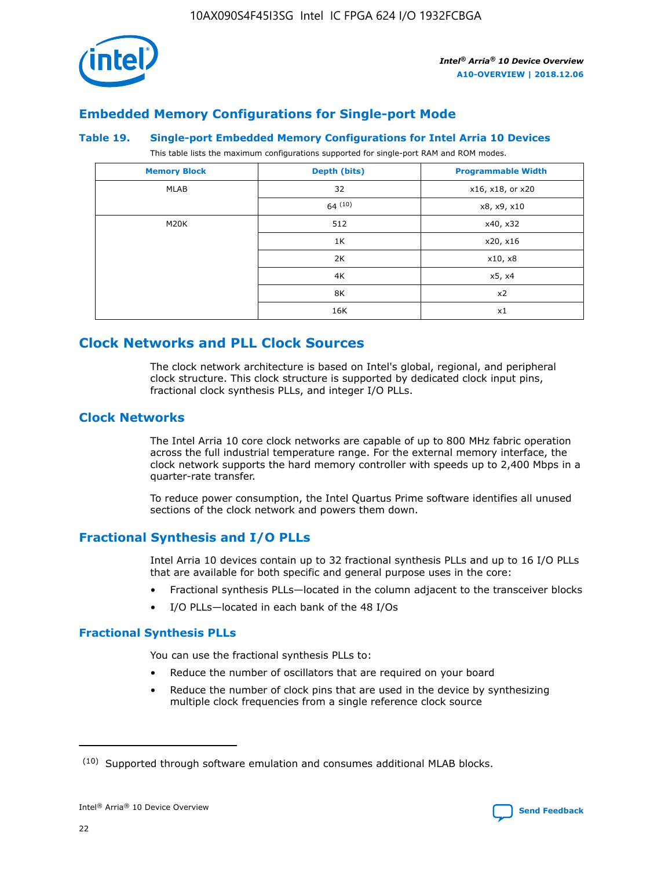

# **Embedded Memory Configurations for Single-port Mode**

#### **Table 19. Single-port Embedded Memory Configurations for Intel Arria 10 Devices**

This table lists the maximum configurations supported for single-port RAM and ROM modes.

| <b>Memory Block</b> | Depth (bits) | <b>Programmable Width</b> |
|---------------------|--------------|---------------------------|
| MLAB                | 32           | x16, x18, or x20          |
|                     | 64(10)       | x8, x9, x10               |
| M20K                | 512          | x40, x32                  |
|                     | 1K           | x20, x16                  |
|                     | 2K           | x10, x8                   |
|                     | 4K           | x5, x4                    |
|                     | 8K           | x2                        |
|                     | 16K          | x1                        |

# **Clock Networks and PLL Clock Sources**

The clock network architecture is based on Intel's global, regional, and peripheral clock structure. This clock structure is supported by dedicated clock input pins, fractional clock synthesis PLLs, and integer I/O PLLs.

## **Clock Networks**

The Intel Arria 10 core clock networks are capable of up to 800 MHz fabric operation across the full industrial temperature range. For the external memory interface, the clock network supports the hard memory controller with speeds up to 2,400 Mbps in a quarter-rate transfer.

To reduce power consumption, the Intel Quartus Prime software identifies all unused sections of the clock network and powers them down.

# **Fractional Synthesis and I/O PLLs**

Intel Arria 10 devices contain up to 32 fractional synthesis PLLs and up to 16 I/O PLLs that are available for both specific and general purpose uses in the core:

- Fractional synthesis PLLs—located in the column adjacent to the transceiver blocks
- I/O PLLs—located in each bank of the 48 I/Os

#### **Fractional Synthesis PLLs**

You can use the fractional synthesis PLLs to:

- Reduce the number of oscillators that are required on your board
- Reduce the number of clock pins that are used in the device by synthesizing multiple clock frequencies from a single reference clock source

<sup>(10)</sup> Supported through software emulation and consumes additional MLAB blocks.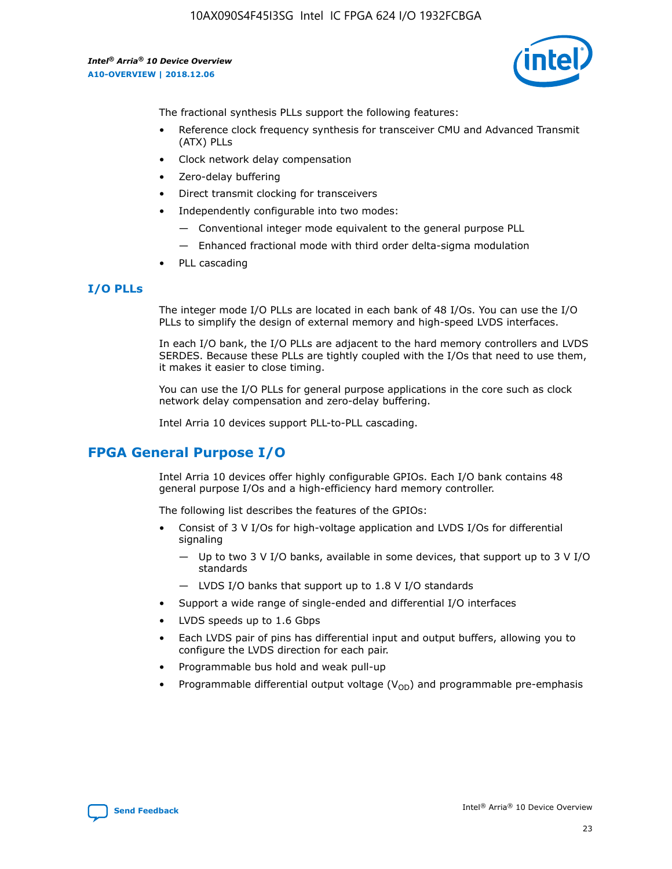

The fractional synthesis PLLs support the following features:

- Reference clock frequency synthesis for transceiver CMU and Advanced Transmit (ATX) PLLs
- Clock network delay compensation
- Zero-delay buffering
- Direct transmit clocking for transceivers
- Independently configurable into two modes:
	- Conventional integer mode equivalent to the general purpose PLL
	- Enhanced fractional mode with third order delta-sigma modulation
- PLL cascading

# **I/O PLLs**

The integer mode I/O PLLs are located in each bank of 48 I/Os. You can use the I/O PLLs to simplify the design of external memory and high-speed LVDS interfaces.

In each I/O bank, the I/O PLLs are adjacent to the hard memory controllers and LVDS SERDES. Because these PLLs are tightly coupled with the I/Os that need to use them, it makes it easier to close timing.

You can use the I/O PLLs for general purpose applications in the core such as clock network delay compensation and zero-delay buffering.

Intel Arria 10 devices support PLL-to-PLL cascading.

# **FPGA General Purpose I/O**

Intel Arria 10 devices offer highly configurable GPIOs. Each I/O bank contains 48 general purpose I/Os and a high-efficiency hard memory controller.

The following list describes the features of the GPIOs:

- Consist of 3 V I/Os for high-voltage application and LVDS I/Os for differential signaling
	- Up to two 3 V I/O banks, available in some devices, that support up to 3 V I/O standards
	- LVDS I/O banks that support up to 1.8 V I/O standards
- Support a wide range of single-ended and differential I/O interfaces
- LVDS speeds up to 1.6 Gbps
- Each LVDS pair of pins has differential input and output buffers, allowing you to configure the LVDS direction for each pair.
- Programmable bus hold and weak pull-up
- Programmable differential output voltage  $(V_{OD})$  and programmable pre-emphasis

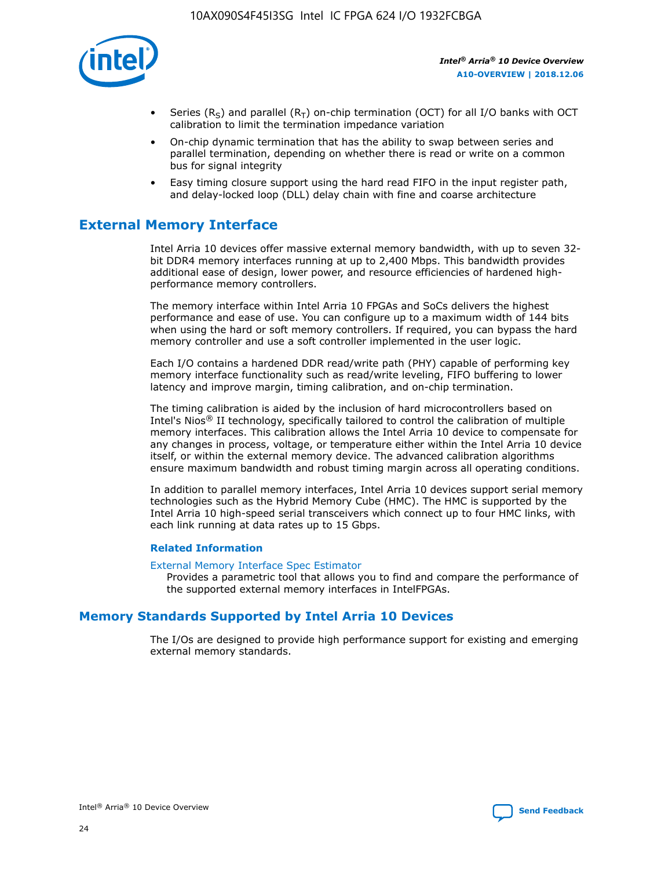

- Series (R<sub>S</sub>) and parallel (R<sub>T</sub>) on-chip termination (OCT) for all I/O banks with OCT calibration to limit the termination impedance variation
- On-chip dynamic termination that has the ability to swap between series and parallel termination, depending on whether there is read or write on a common bus for signal integrity
- Easy timing closure support using the hard read FIFO in the input register path, and delay-locked loop (DLL) delay chain with fine and coarse architecture

# **External Memory Interface**

Intel Arria 10 devices offer massive external memory bandwidth, with up to seven 32 bit DDR4 memory interfaces running at up to 2,400 Mbps. This bandwidth provides additional ease of design, lower power, and resource efficiencies of hardened highperformance memory controllers.

The memory interface within Intel Arria 10 FPGAs and SoCs delivers the highest performance and ease of use. You can configure up to a maximum width of 144 bits when using the hard or soft memory controllers. If required, you can bypass the hard memory controller and use a soft controller implemented in the user logic.

Each I/O contains a hardened DDR read/write path (PHY) capable of performing key memory interface functionality such as read/write leveling, FIFO buffering to lower latency and improve margin, timing calibration, and on-chip termination.

The timing calibration is aided by the inclusion of hard microcontrollers based on Intel's Nios® II technology, specifically tailored to control the calibration of multiple memory interfaces. This calibration allows the Intel Arria 10 device to compensate for any changes in process, voltage, or temperature either within the Intel Arria 10 device itself, or within the external memory device. The advanced calibration algorithms ensure maximum bandwidth and robust timing margin across all operating conditions.

In addition to parallel memory interfaces, Intel Arria 10 devices support serial memory technologies such as the Hybrid Memory Cube (HMC). The HMC is supported by the Intel Arria 10 high-speed serial transceivers which connect up to four HMC links, with each link running at data rates up to 15 Gbps.

#### **Related Information**

#### [External Memory Interface Spec Estimator](http://www.altera.com/technology/memory/estimator/mem-emif-index.html)

Provides a parametric tool that allows you to find and compare the performance of the supported external memory interfaces in IntelFPGAs.

# **Memory Standards Supported by Intel Arria 10 Devices**

The I/Os are designed to provide high performance support for existing and emerging external memory standards.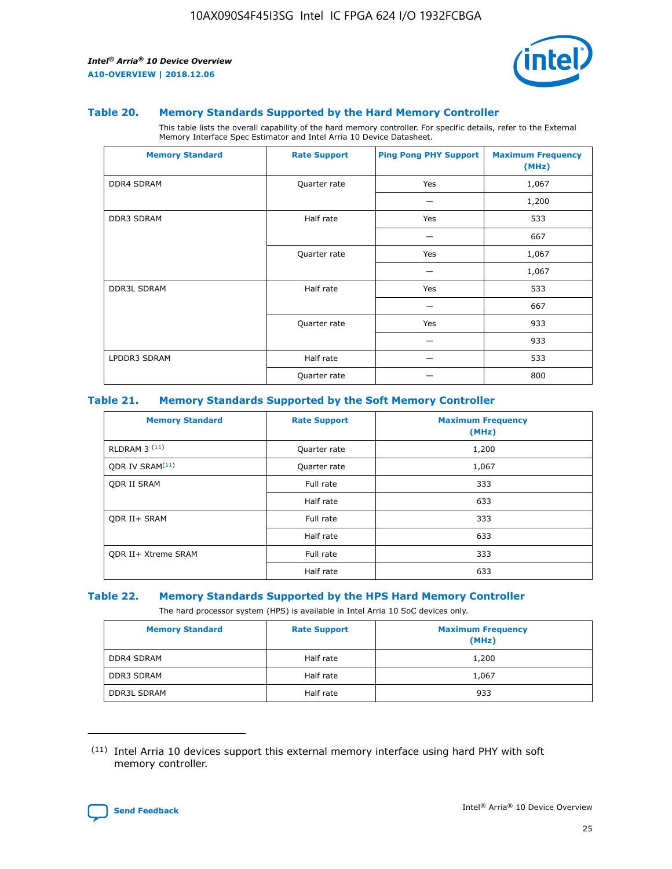

#### **Table 20. Memory Standards Supported by the Hard Memory Controller**

This table lists the overall capability of the hard memory controller. For specific details, refer to the External Memory Interface Spec Estimator and Intel Arria 10 Device Datasheet.

| <b>Memory Standard</b> | <b>Rate Support</b> | <b>Ping Pong PHY Support</b> | <b>Maximum Frequency</b><br>(MHz) |
|------------------------|---------------------|------------------------------|-----------------------------------|
| <b>DDR4 SDRAM</b>      | Quarter rate        | Yes                          | 1,067                             |
|                        |                     |                              | 1,200                             |
| DDR3 SDRAM             | Half rate           | Yes                          | 533                               |
|                        |                     |                              | 667                               |
|                        | Quarter rate        | Yes                          | 1,067                             |
|                        |                     |                              | 1,067                             |
| <b>DDR3L SDRAM</b>     | Half rate           | Yes                          | 533                               |
|                        |                     |                              | 667                               |
|                        | Quarter rate        | Yes                          | 933                               |
|                        |                     |                              | 933                               |
| LPDDR3 SDRAM           | Half rate           |                              | 533                               |
|                        | Quarter rate        |                              | 800                               |

#### **Table 21. Memory Standards Supported by the Soft Memory Controller**

| <b>Memory Standard</b>      | <b>Rate Support</b> | <b>Maximum Frequency</b><br>(MHz) |
|-----------------------------|---------------------|-----------------------------------|
| <b>RLDRAM 3 (11)</b>        | Quarter rate        | 1,200                             |
| ODR IV SRAM <sup>(11)</sup> | Quarter rate        | 1,067                             |
| <b>ODR II SRAM</b>          | Full rate           | 333                               |
|                             | Half rate           | 633                               |
| <b>ODR II+ SRAM</b>         | Full rate           | 333                               |
|                             | Half rate           | 633                               |
| <b>ODR II+ Xtreme SRAM</b>  | Full rate           | 333                               |
|                             | Half rate           | 633                               |

#### **Table 22. Memory Standards Supported by the HPS Hard Memory Controller**

The hard processor system (HPS) is available in Intel Arria 10 SoC devices only.

| <b>Memory Standard</b> | <b>Rate Support</b> | <b>Maximum Frequency</b><br>(MHz) |
|------------------------|---------------------|-----------------------------------|
| <b>DDR4 SDRAM</b>      | Half rate           | 1,200                             |
| <b>DDR3 SDRAM</b>      | Half rate           | 1,067                             |
| <b>DDR3L SDRAM</b>     | Half rate           | 933                               |

<sup>(11)</sup> Intel Arria 10 devices support this external memory interface using hard PHY with soft memory controller.

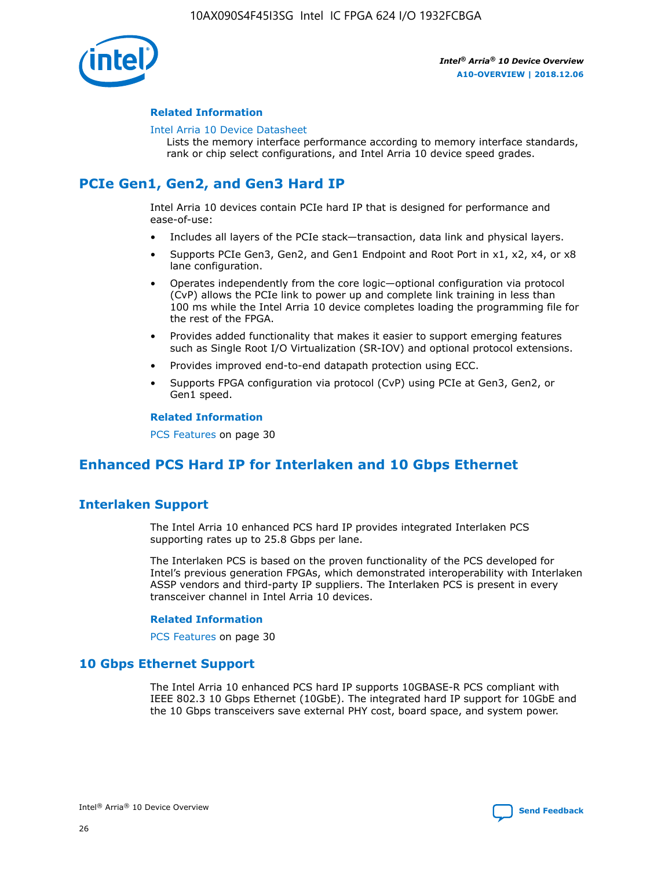

#### **Related Information**

#### [Intel Arria 10 Device Datasheet](https://www.intel.com/content/www/us/en/programmable/documentation/mcn1413182292568.html#mcn1413182153340)

Lists the memory interface performance according to memory interface standards, rank or chip select configurations, and Intel Arria 10 device speed grades.

# **PCIe Gen1, Gen2, and Gen3 Hard IP**

Intel Arria 10 devices contain PCIe hard IP that is designed for performance and ease-of-use:

- Includes all layers of the PCIe stack—transaction, data link and physical layers.
- Supports PCIe Gen3, Gen2, and Gen1 Endpoint and Root Port in x1, x2, x4, or x8 lane configuration.
- Operates independently from the core logic—optional configuration via protocol (CvP) allows the PCIe link to power up and complete link training in less than 100 ms while the Intel Arria 10 device completes loading the programming file for the rest of the FPGA.
- Provides added functionality that makes it easier to support emerging features such as Single Root I/O Virtualization (SR-IOV) and optional protocol extensions.
- Provides improved end-to-end datapath protection using ECC.
- Supports FPGA configuration via protocol (CvP) using PCIe at Gen3, Gen2, or Gen1 speed.

#### **Related Information**

PCS Features on page 30

# **Enhanced PCS Hard IP for Interlaken and 10 Gbps Ethernet**

# **Interlaken Support**

The Intel Arria 10 enhanced PCS hard IP provides integrated Interlaken PCS supporting rates up to 25.8 Gbps per lane.

The Interlaken PCS is based on the proven functionality of the PCS developed for Intel's previous generation FPGAs, which demonstrated interoperability with Interlaken ASSP vendors and third-party IP suppliers. The Interlaken PCS is present in every transceiver channel in Intel Arria 10 devices.

#### **Related Information**

PCS Features on page 30

# **10 Gbps Ethernet Support**

The Intel Arria 10 enhanced PCS hard IP supports 10GBASE-R PCS compliant with IEEE 802.3 10 Gbps Ethernet (10GbE). The integrated hard IP support for 10GbE and the 10 Gbps transceivers save external PHY cost, board space, and system power.

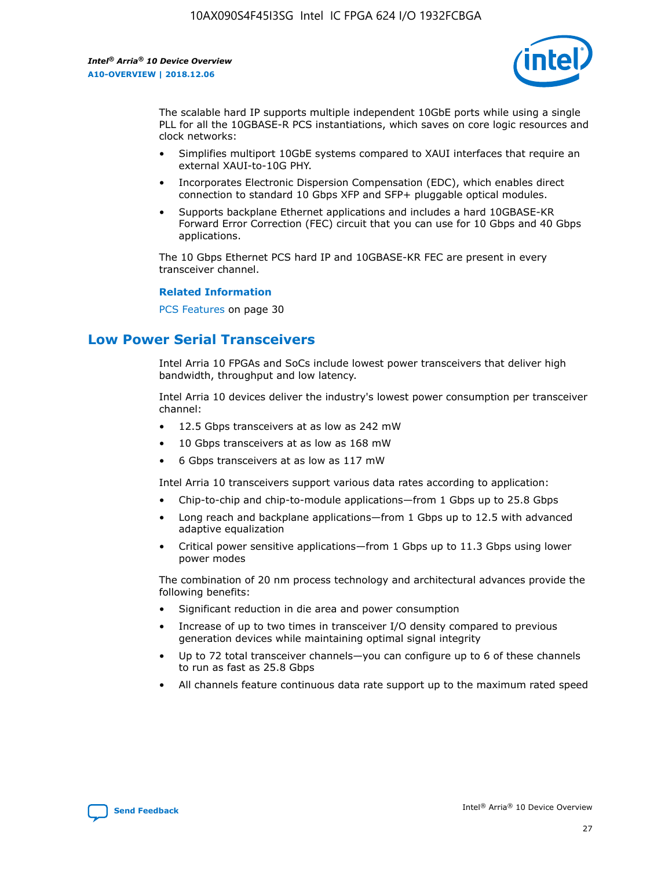

The scalable hard IP supports multiple independent 10GbE ports while using a single PLL for all the 10GBASE-R PCS instantiations, which saves on core logic resources and clock networks:

- Simplifies multiport 10GbE systems compared to XAUI interfaces that require an external XAUI-to-10G PHY.
- Incorporates Electronic Dispersion Compensation (EDC), which enables direct connection to standard 10 Gbps XFP and SFP+ pluggable optical modules.
- Supports backplane Ethernet applications and includes a hard 10GBASE-KR Forward Error Correction (FEC) circuit that you can use for 10 Gbps and 40 Gbps applications.

The 10 Gbps Ethernet PCS hard IP and 10GBASE-KR FEC are present in every transceiver channel.

#### **Related Information**

PCS Features on page 30

# **Low Power Serial Transceivers**

Intel Arria 10 FPGAs and SoCs include lowest power transceivers that deliver high bandwidth, throughput and low latency.

Intel Arria 10 devices deliver the industry's lowest power consumption per transceiver channel:

- 12.5 Gbps transceivers at as low as 242 mW
- 10 Gbps transceivers at as low as 168 mW
- 6 Gbps transceivers at as low as 117 mW

Intel Arria 10 transceivers support various data rates according to application:

- Chip-to-chip and chip-to-module applications—from 1 Gbps up to 25.8 Gbps
- Long reach and backplane applications—from 1 Gbps up to 12.5 with advanced adaptive equalization
- Critical power sensitive applications—from 1 Gbps up to 11.3 Gbps using lower power modes

The combination of 20 nm process technology and architectural advances provide the following benefits:

- Significant reduction in die area and power consumption
- Increase of up to two times in transceiver I/O density compared to previous generation devices while maintaining optimal signal integrity
- Up to 72 total transceiver channels—you can configure up to 6 of these channels to run as fast as 25.8 Gbps
- All channels feature continuous data rate support up to the maximum rated speed

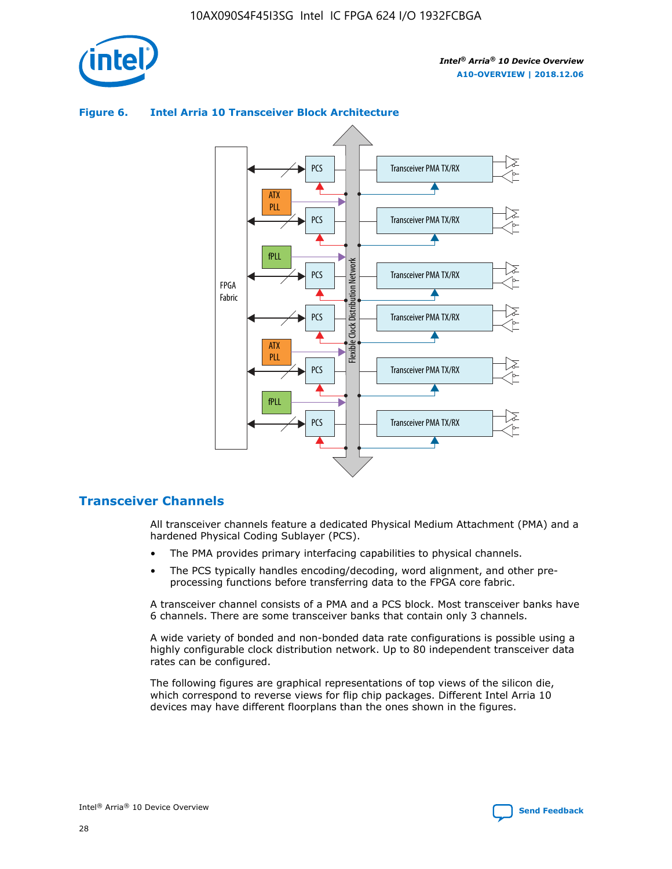

# Transceiver PMA TX/RX PCS ATX PLL Transceiver PMA TX/RX PCS fPLL Network Flexible Clock Distribution Network PCS Transceiver PMA TX/RX FPGA **Clock Distribution** Fabric PCS Transceiver PMA TX/RX ATX Flexible PLL PCS Transceiver PMA TX/RX ▲ fPLL Transceiver PMA TX/RX PCS 4

## **Figure 6. Intel Arria 10 Transceiver Block Architecture**

# **Transceiver Channels**

All transceiver channels feature a dedicated Physical Medium Attachment (PMA) and a hardened Physical Coding Sublayer (PCS).

- The PMA provides primary interfacing capabilities to physical channels.
- The PCS typically handles encoding/decoding, word alignment, and other preprocessing functions before transferring data to the FPGA core fabric.

A transceiver channel consists of a PMA and a PCS block. Most transceiver banks have 6 channels. There are some transceiver banks that contain only 3 channels.

A wide variety of bonded and non-bonded data rate configurations is possible using a highly configurable clock distribution network. Up to 80 independent transceiver data rates can be configured.

The following figures are graphical representations of top views of the silicon die, which correspond to reverse views for flip chip packages. Different Intel Arria 10 devices may have different floorplans than the ones shown in the figures.

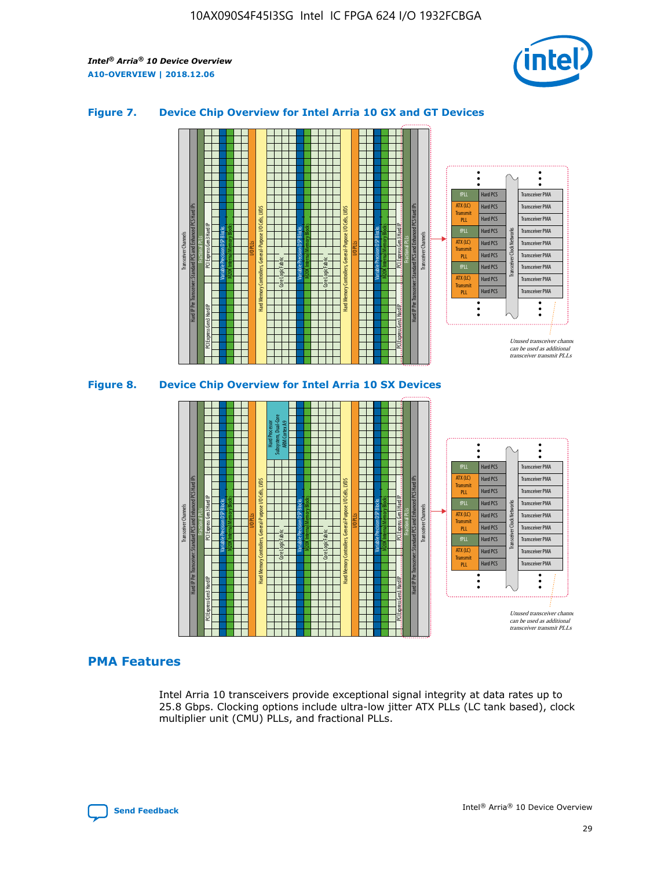

## **Figure 7. Device Chip Overview for Intel Arria 10 GX and GT Devices**



M20K Internal Memory Blocks Core Logic Fabric Transceiver Channels Hard IP Per Transceiver: Standard PCS and Enhanced PCS Hard IPs PCI Express Gen3 Hard IP Fractional PLLs M20K Internal Memory Blocks PCI Express Gen3 Hard IP Variable Precision DSP Blocks I/O PLLs Hard Memory Controllers, General-Purpose I/O Cells, LVDS Hard Processor Subsystem, Dual-Core ARM Cortex A9 M20K Internal Memory Blocks Variable Precision DSP Blocks M20K Internal Memory Blocks Core Logic Fabric I/O PLLs Hard Memory Controllers, General-Purpose I/O Cells, LVDS M20K Internal Memory Blocks Variable Precision DSP Blocks M20K Internal Memory Blocks Transceiver Channels Hard IP Per Transceiver: Standard PCS and Enhanced PCS Hard IPs PCI Express Gen3 Hard IP Fractional PLLs PCI Express Gen3 Hard IP  $\ddot{\cdot}$ Hard PCS Transceiver PMA fPLL ATX (LC) Hard PCS Transceiver PMA **Transmit** Hard PCS Transceiver PMA PLL fPLL Hard PCS Transceiver PMA Transceiver Clock Networks ATX (LC) Hard PCS Transceiver PMA Transmi Hard PCS Transceiver PMA PLL fPLL Hard PCS Transceiver PMA Transceiver PMA Hard PCS ATX (LC) **Transmit** Hard PCS Transceiver PMA PLL Unused transceiver chann can be used as additional transceiver transmit PLLs

#### **PMA Features**

Intel Arria 10 transceivers provide exceptional signal integrity at data rates up to 25.8 Gbps. Clocking options include ultra-low jitter ATX PLLs (LC tank based), clock multiplier unit (CMU) PLLs, and fractional PLLs.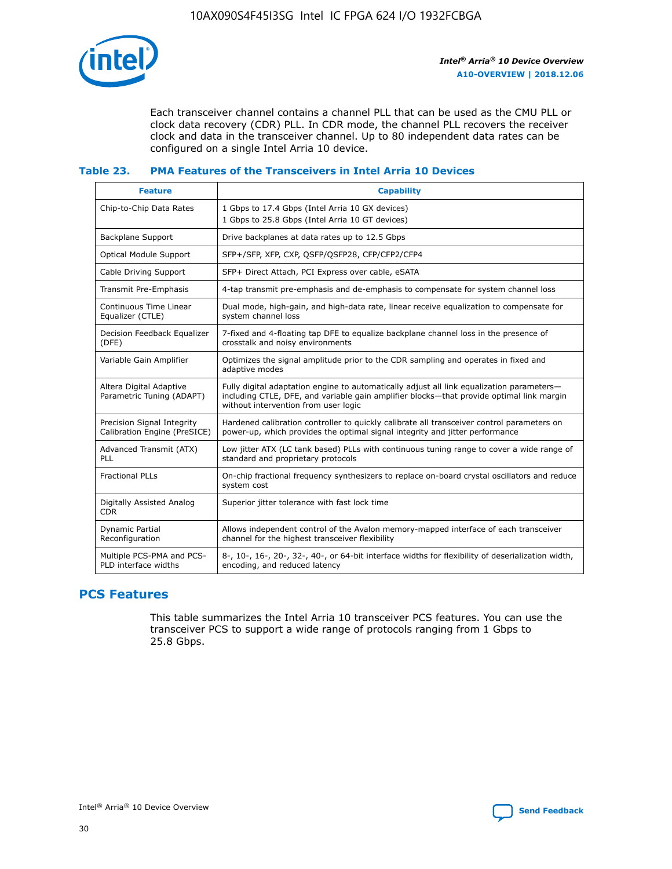

Each transceiver channel contains a channel PLL that can be used as the CMU PLL or clock data recovery (CDR) PLL. In CDR mode, the channel PLL recovers the receiver clock and data in the transceiver channel. Up to 80 independent data rates can be configured on a single Intel Arria 10 device.

# **Table 23. PMA Features of the Transceivers in Intel Arria 10 Devices**

| <b>Feature</b>                                             | <b>Capability</b>                                                                                                                                                                                                             |
|------------------------------------------------------------|-------------------------------------------------------------------------------------------------------------------------------------------------------------------------------------------------------------------------------|
| Chip-to-Chip Data Rates                                    | 1 Gbps to 17.4 Gbps (Intel Arria 10 GX devices)<br>1 Gbps to 25.8 Gbps (Intel Arria 10 GT devices)                                                                                                                            |
| Backplane Support                                          | Drive backplanes at data rates up to 12.5 Gbps                                                                                                                                                                                |
| <b>Optical Module Support</b>                              | SFP+/SFP, XFP, CXP, QSFP/QSFP28, CFP/CFP2/CFP4                                                                                                                                                                                |
| Cable Driving Support                                      | SFP+ Direct Attach, PCI Express over cable, eSATA                                                                                                                                                                             |
| Transmit Pre-Emphasis                                      | 4-tap transmit pre-emphasis and de-emphasis to compensate for system channel loss                                                                                                                                             |
| Continuous Time Linear<br>Equalizer (CTLE)                 | Dual mode, high-gain, and high-data rate, linear receive equalization to compensate for<br>system channel loss                                                                                                                |
| Decision Feedback Equalizer<br>(DFE)                       | 7-fixed and 4-floating tap DFE to equalize backplane channel loss in the presence of<br>crosstalk and noisy environments                                                                                                      |
| Variable Gain Amplifier                                    | Optimizes the signal amplitude prior to the CDR sampling and operates in fixed and<br>adaptive modes                                                                                                                          |
| Altera Digital Adaptive<br>Parametric Tuning (ADAPT)       | Fully digital adaptation engine to automatically adjust all link equalization parameters-<br>including CTLE, DFE, and variable gain amplifier blocks—that provide optimal link margin<br>without intervention from user logic |
| Precision Signal Integrity<br>Calibration Engine (PreSICE) | Hardened calibration controller to quickly calibrate all transceiver control parameters on<br>power-up, which provides the optimal signal integrity and jitter performance                                                    |
| Advanced Transmit (ATX)<br>PLL                             | Low jitter ATX (LC tank based) PLLs with continuous tuning range to cover a wide range of<br>standard and proprietary protocols                                                                                               |
| <b>Fractional PLLs</b>                                     | On-chip fractional frequency synthesizers to replace on-board crystal oscillators and reduce<br>system cost                                                                                                                   |
| Digitally Assisted Analog<br><b>CDR</b>                    | Superior jitter tolerance with fast lock time                                                                                                                                                                                 |
| Dynamic Partial<br>Reconfiguration                         | Allows independent control of the Avalon memory-mapped interface of each transceiver<br>channel for the highest transceiver flexibility                                                                                       |
| Multiple PCS-PMA and PCS-<br>PLD interface widths          | 8-, 10-, 16-, 20-, 32-, 40-, or 64-bit interface widths for flexibility of deserialization width,<br>encoding, and reduced latency                                                                                            |

# **PCS Features**

This table summarizes the Intel Arria 10 transceiver PCS features. You can use the transceiver PCS to support a wide range of protocols ranging from 1 Gbps to 25.8 Gbps.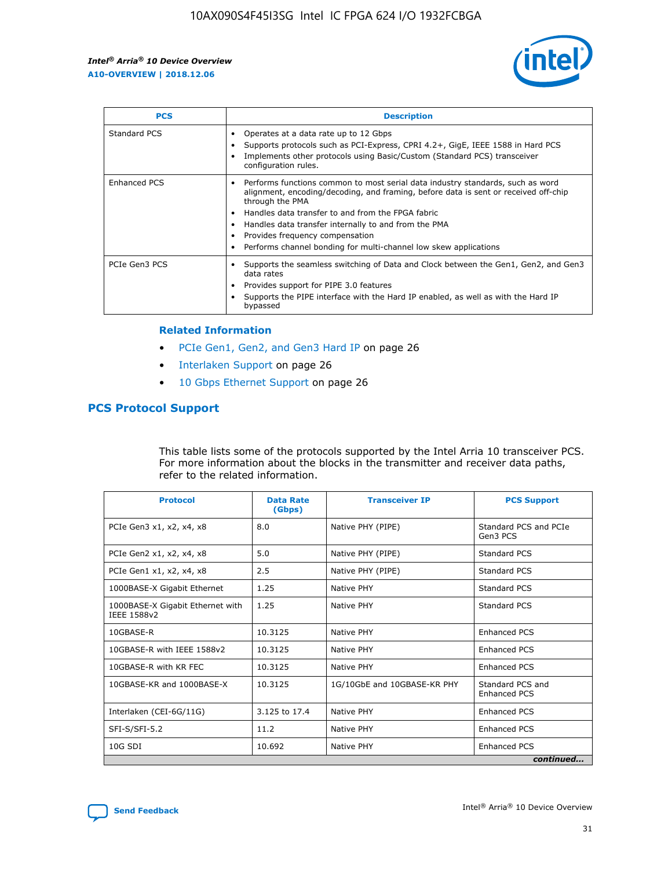

| <b>PCS</b>          | <b>Description</b>                                                                                                                                                                                                                                                                                                                                                                                             |
|---------------------|----------------------------------------------------------------------------------------------------------------------------------------------------------------------------------------------------------------------------------------------------------------------------------------------------------------------------------------------------------------------------------------------------------------|
| Standard PCS        | Operates at a data rate up to 12 Gbps<br>Supports protocols such as PCI-Express, CPRI 4.2+, GigE, IEEE 1588 in Hard PCS<br>Implements other protocols using Basic/Custom (Standard PCS) transceiver<br>configuration rules.                                                                                                                                                                                    |
| <b>Enhanced PCS</b> | Performs functions common to most serial data industry standards, such as word<br>alignment, encoding/decoding, and framing, before data is sent or received off-chip<br>through the PMA<br>• Handles data transfer to and from the FPGA fabric<br>Handles data transfer internally to and from the PMA<br>Provides frequency compensation<br>Performs channel bonding for multi-channel low skew applications |
| PCIe Gen3 PCS       | Supports the seamless switching of Data and Clock between the Gen1, Gen2, and Gen3<br>data rates<br>Provides support for PIPE 3.0 features<br>Supports the PIPE interface with the Hard IP enabled, as well as with the Hard IP<br>bypassed                                                                                                                                                                    |

#### **Related Information**

- PCIe Gen1, Gen2, and Gen3 Hard IP on page 26
- Interlaken Support on page 26
- 10 Gbps Ethernet Support on page 26

# **PCS Protocol Support**

This table lists some of the protocols supported by the Intel Arria 10 transceiver PCS. For more information about the blocks in the transmitter and receiver data paths, refer to the related information.

| <b>Protocol</b>                                 | <b>Data Rate</b><br>(Gbps) | <b>Transceiver IP</b>       | <b>PCS Support</b>                      |
|-------------------------------------------------|----------------------------|-----------------------------|-----------------------------------------|
| PCIe Gen3 x1, x2, x4, x8                        | 8.0                        | Native PHY (PIPE)           | Standard PCS and PCIe<br>Gen3 PCS       |
| PCIe Gen2 x1, x2, x4, x8                        | 5.0                        | Native PHY (PIPE)           | <b>Standard PCS</b>                     |
| PCIe Gen1 x1, x2, x4, x8                        | 2.5                        | Native PHY (PIPE)           | Standard PCS                            |
| 1000BASE-X Gigabit Ethernet                     | 1.25                       | Native PHY                  | <b>Standard PCS</b>                     |
| 1000BASE-X Gigabit Ethernet with<br>IEEE 1588v2 | 1.25                       | Native PHY                  | Standard PCS                            |
| 10GBASE-R                                       | 10.3125                    | Native PHY                  | <b>Enhanced PCS</b>                     |
| 10GBASE-R with IEEE 1588v2                      | 10.3125                    | Native PHY                  | <b>Enhanced PCS</b>                     |
| 10GBASE-R with KR FEC                           | 10.3125                    | Native PHY                  | <b>Enhanced PCS</b>                     |
| 10GBASE-KR and 1000BASE-X                       | 10.3125                    | 1G/10GbE and 10GBASE-KR PHY | Standard PCS and<br><b>Enhanced PCS</b> |
| Interlaken (CEI-6G/11G)                         | 3.125 to 17.4              | Native PHY                  | <b>Enhanced PCS</b>                     |
| SFI-S/SFI-5.2                                   | 11.2                       | Native PHY                  | <b>Enhanced PCS</b>                     |
| $10G$ SDI                                       | 10.692                     | Native PHY                  | <b>Enhanced PCS</b>                     |
|                                                 |                            |                             | continued                               |

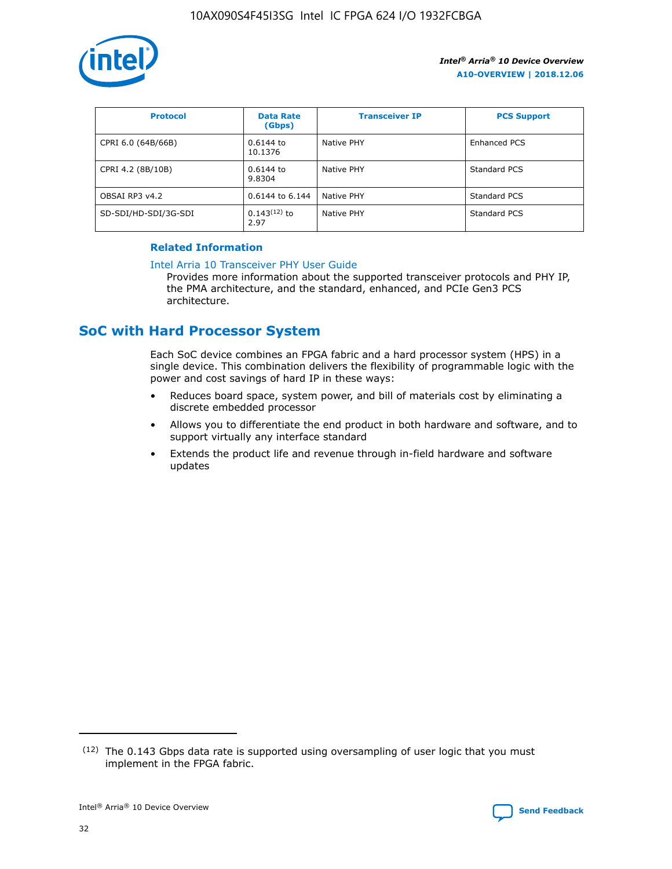

| <b>Protocol</b>      | <b>Data Rate</b><br>(Gbps) | <b>Transceiver IP</b> | <b>PCS Support</b> |
|----------------------|----------------------------|-----------------------|--------------------|
| CPRI 6.0 (64B/66B)   | 0.6144 to<br>10.1376       | Native PHY            | Enhanced PCS       |
| CPRI 4.2 (8B/10B)    | 0.6144 to<br>9.8304        | Native PHY            | Standard PCS       |
| OBSAI RP3 v4.2       | 0.6144 to 6.144            | Native PHY            | Standard PCS       |
| SD-SDI/HD-SDI/3G-SDI | $0.143(12)$ to<br>2.97     | Native PHY            | Standard PCS       |

# **Related Information**

#### [Intel Arria 10 Transceiver PHY User Guide](https://www.intel.com/content/www/us/en/programmable/documentation/nik1398707230472.html#nik1398707091164)

Provides more information about the supported transceiver protocols and PHY IP, the PMA architecture, and the standard, enhanced, and PCIe Gen3 PCS architecture.

# **SoC with Hard Processor System**

Each SoC device combines an FPGA fabric and a hard processor system (HPS) in a single device. This combination delivers the flexibility of programmable logic with the power and cost savings of hard IP in these ways:

- Reduces board space, system power, and bill of materials cost by eliminating a discrete embedded processor
- Allows you to differentiate the end product in both hardware and software, and to support virtually any interface standard
- Extends the product life and revenue through in-field hardware and software updates

 $(12)$  The 0.143 Gbps data rate is supported using oversampling of user logic that you must implement in the FPGA fabric.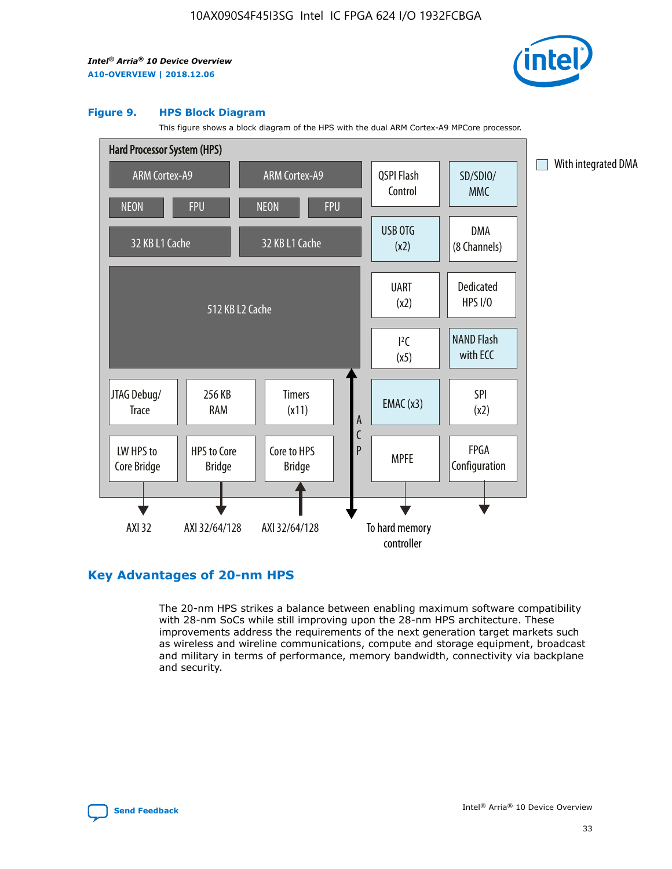

#### **Figure 9. HPS Block Diagram**

This figure shows a block diagram of the HPS with the dual ARM Cortex-A9 MPCore processor.



# **Key Advantages of 20-nm HPS**

The 20-nm HPS strikes a balance between enabling maximum software compatibility with 28-nm SoCs while still improving upon the 28-nm HPS architecture. These improvements address the requirements of the next generation target markets such as wireless and wireline communications, compute and storage equipment, broadcast and military in terms of performance, memory bandwidth, connectivity via backplane and security.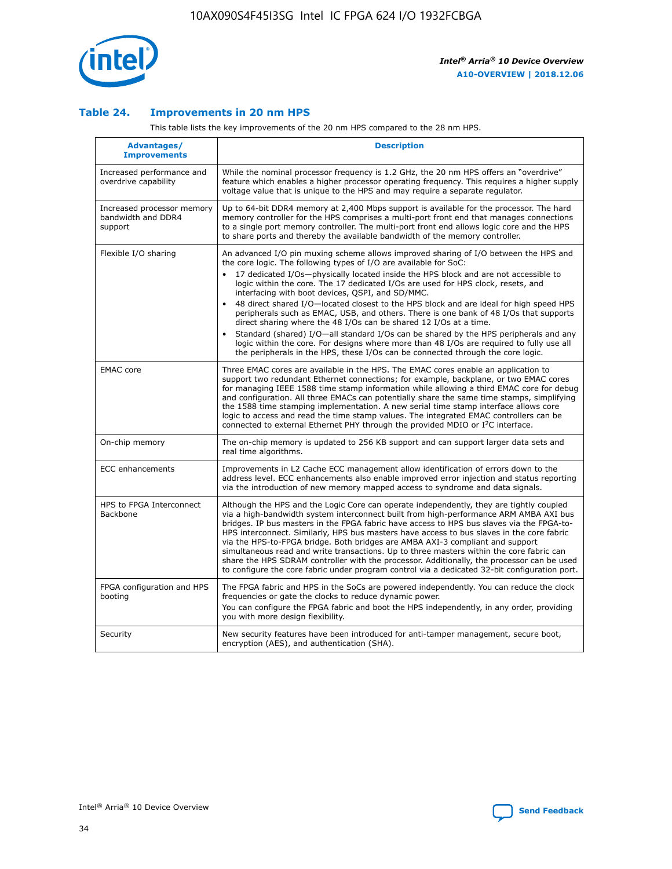

## **Table 24. Improvements in 20 nm HPS**

This table lists the key improvements of the 20 nm HPS compared to the 28 nm HPS.

| Advantages/<br><b>Improvements</b>                          | <b>Description</b>                                                                                                                                                                                                                                                                                                                                                                                                                                                                                                                                                                                                                                                                                                                                                                                                                                                                                                      |
|-------------------------------------------------------------|-------------------------------------------------------------------------------------------------------------------------------------------------------------------------------------------------------------------------------------------------------------------------------------------------------------------------------------------------------------------------------------------------------------------------------------------------------------------------------------------------------------------------------------------------------------------------------------------------------------------------------------------------------------------------------------------------------------------------------------------------------------------------------------------------------------------------------------------------------------------------------------------------------------------------|
| Increased performance and<br>overdrive capability           | While the nominal processor frequency is 1.2 GHz, the 20 nm HPS offers an "overdrive"<br>feature which enables a higher processor operating frequency. This requires a higher supply<br>voltage value that is unique to the HPS and may require a separate regulator.                                                                                                                                                                                                                                                                                                                                                                                                                                                                                                                                                                                                                                                   |
| Increased processor memory<br>bandwidth and DDR4<br>support | Up to 64-bit DDR4 memory at 2,400 Mbps support is available for the processor. The hard<br>memory controller for the HPS comprises a multi-port front end that manages connections<br>to a single port memory controller. The multi-port front end allows logic core and the HPS<br>to share ports and thereby the available bandwidth of the memory controller.                                                                                                                                                                                                                                                                                                                                                                                                                                                                                                                                                        |
| Flexible I/O sharing                                        | An advanced I/O pin muxing scheme allows improved sharing of I/O between the HPS and<br>the core logic. The following types of I/O are available for SoC:<br>17 dedicated I/Os-physically located inside the HPS block and are not accessible to<br>logic within the core. The 17 dedicated I/Os are used for HPS clock, resets, and<br>interfacing with boot devices, QSPI, and SD/MMC.<br>48 direct shared I/O-located closest to the HPS block and are ideal for high speed HPS<br>peripherals such as EMAC, USB, and others. There is one bank of 48 I/Os that supports<br>direct sharing where the 48 I/Os can be shared 12 I/Os at a time.<br>Standard (shared) I/O-all standard I/Os can be shared by the HPS peripherals and any<br>logic within the core. For designs where more than 48 I/Os are reguired to fully use all<br>the peripherals in the HPS, these I/Os can be connected through the core logic. |
| <b>EMAC</b> core                                            | Three EMAC cores are available in the HPS. The EMAC cores enable an application to<br>support two redundant Ethernet connections; for example, backplane, or two EMAC cores<br>for managing IEEE 1588 time stamp information while allowing a third EMAC core for debug<br>and configuration. All three EMACs can potentially share the same time stamps, simplifying<br>the 1588 time stamping implementation. A new serial time stamp interface allows core<br>logic to access and read the time stamp values. The integrated EMAC controllers can be<br>connected to external Ethernet PHY through the provided MDIO or I <sup>2</sup> C interface.                                                                                                                                                                                                                                                                  |
| On-chip memory                                              | The on-chip memory is updated to 256 KB support and can support larger data sets and<br>real time algorithms.                                                                                                                                                                                                                                                                                                                                                                                                                                                                                                                                                                                                                                                                                                                                                                                                           |
| <b>ECC</b> enhancements                                     | Improvements in L2 Cache ECC management allow identification of errors down to the<br>address level. ECC enhancements also enable improved error injection and status reporting<br>via the introduction of new memory mapped access to syndrome and data signals.                                                                                                                                                                                                                                                                                                                                                                                                                                                                                                                                                                                                                                                       |
| HPS to FPGA Interconnect<br>Backbone                        | Although the HPS and the Logic Core can operate independently, they are tightly coupled<br>via a high-bandwidth system interconnect built from high-performance ARM AMBA AXI bus<br>bridges. IP bus masters in the FPGA fabric have access to HPS bus slaves via the FPGA-to-<br>HPS interconnect. Similarly, HPS bus masters have access to bus slaves in the core fabric<br>via the HPS-to-FPGA bridge. Both bridges are AMBA AXI-3 compliant and support<br>simultaneous read and write transactions. Up to three masters within the core fabric can<br>share the HPS SDRAM controller with the processor. Additionally, the processor can be used<br>to configure the core fabric under program control via a dedicated 32-bit configuration port.                                                                                                                                                                  |
| FPGA configuration and HPS<br>booting                       | The FPGA fabric and HPS in the SoCs are powered independently. You can reduce the clock<br>frequencies or gate the clocks to reduce dynamic power.<br>You can configure the FPGA fabric and boot the HPS independently, in any order, providing<br>you with more design flexibility.                                                                                                                                                                                                                                                                                                                                                                                                                                                                                                                                                                                                                                    |
| Security                                                    | New security features have been introduced for anti-tamper management, secure boot,<br>encryption (AES), and authentication (SHA).                                                                                                                                                                                                                                                                                                                                                                                                                                                                                                                                                                                                                                                                                                                                                                                      |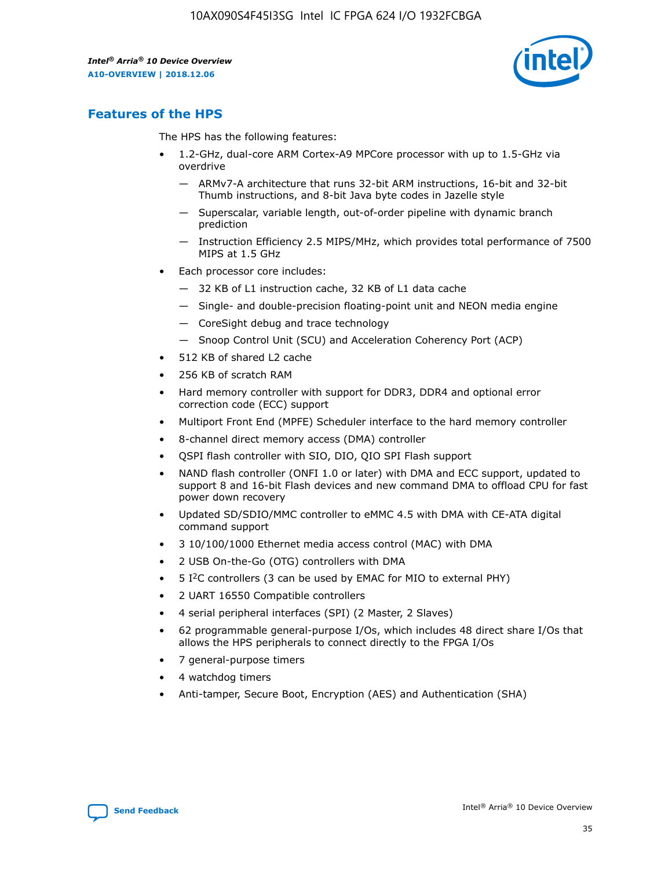

# **Features of the HPS**

The HPS has the following features:

- 1.2-GHz, dual-core ARM Cortex-A9 MPCore processor with up to 1.5-GHz via overdrive
	- ARMv7-A architecture that runs 32-bit ARM instructions, 16-bit and 32-bit Thumb instructions, and 8-bit Java byte codes in Jazelle style
	- Superscalar, variable length, out-of-order pipeline with dynamic branch prediction
	- Instruction Efficiency 2.5 MIPS/MHz, which provides total performance of 7500 MIPS at 1.5 GHz
- Each processor core includes:
	- 32 KB of L1 instruction cache, 32 KB of L1 data cache
	- Single- and double-precision floating-point unit and NEON media engine
	- CoreSight debug and trace technology
	- Snoop Control Unit (SCU) and Acceleration Coherency Port (ACP)
- 512 KB of shared L2 cache
- 256 KB of scratch RAM
- Hard memory controller with support for DDR3, DDR4 and optional error correction code (ECC) support
- Multiport Front End (MPFE) Scheduler interface to the hard memory controller
- 8-channel direct memory access (DMA) controller
- QSPI flash controller with SIO, DIO, QIO SPI Flash support
- NAND flash controller (ONFI 1.0 or later) with DMA and ECC support, updated to support 8 and 16-bit Flash devices and new command DMA to offload CPU for fast power down recovery
- Updated SD/SDIO/MMC controller to eMMC 4.5 with DMA with CE-ATA digital command support
- 3 10/100/1000 Ethernet media access control (MAC) with DMA
- 2 USB On-the-Go (OTG) controllers with DMA
- $\bullet$  5 I<sup>2</sup>C controllers (3 can be used by EMAC for MIO to external PHY)
- 2 UART 16550 Compatible controllers
- 4 serial peripheral interfaces (SPI) (2 Master, 2 Slaves)
- 62 programmable general-purpose I/Os, which includes 48 direct share I/Os that allows the HPS peripherals to connect directly to the FPGA I/Os
- 7 general-purpose timers
- 4 watchdog timers
- Anti-tamper, Secure Boot, Encryption (AES) and Authentication (SHA)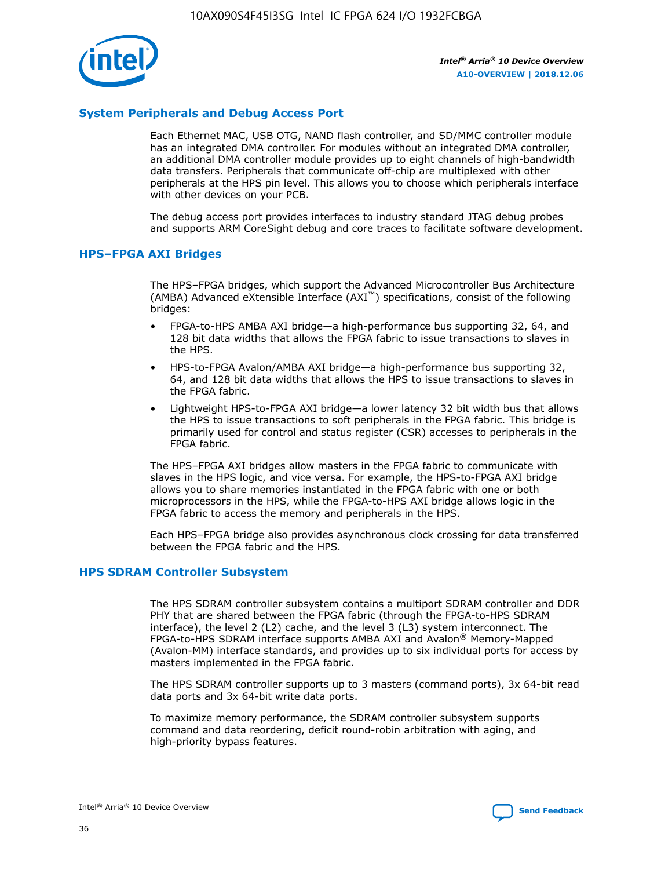

# **System Peripherals and Debug Access Port**

Each Ethernet MAC, USB OTG, NAND flash controller, and SD/MMC controller module has an integrated DMA controller. For modules without an integrated DMA controller, an additional DMA controller module provides up to eight channels of high-bandwidth data transfers. Peripherals that communicate off-chip are multiplexed with other peripherals at the HPS pin level. This allows you to choose which peripherals interface with other devices on your PCB.

The debug access port provides interfaces to industry standard JTAG debug probes and supports ARM CoreSight debug and core traces to facilitate software development.

## **HPS–FPGA AXI Bridges**

The HPS–FPGA bridges, which support the Advanced Microcontroller Bus Architecture (AMBA) Advanced eXtensible Interface (AXI™) specifications, consist of the following bridges:

- FPGA-to-HPS AMBA AXI bridge—a high-performance bus supporting 32, 64, and 128 bit data widths that allows the FPGA fabric to issue transactions to slaves in the HPS.
- HPS-to-FPGA Avalon/AMBA AXI bridge—a high-performance bus supporting 32, 64, and 128 bit data widths that allows the HPS to issue transactions to slaves in the FPGA fabric.
- Lightweight HPS-to-FPGA AXI bridge—a lower latency 32 bit width bus that allows the HPS to issue transactions to soft peripherals in the FPGA fabric. This bridge is primarily used for control and status register (CSR) accesses to peripherals in the FPGA fabric.

The HPS–FPGA AXI bridges allow masters in the FPGA fabric to communicate with slaves in the HPS logic, and vice versa. For example, the HPS-to-FPGA AXI bridge allows you to share memories instantiated in the FPGA fabric with one or both microprocessors in the HPS, while the FPGA-to-HPS AXI bridge allows logic in the FPGA fabric to access the memory and peripherals in the HPS.

Each HPS–FPGA bridge also provides asynchronous clock crossing for data transferred between the FPGA fabric and the HPS.

#### **HPS SDRAM Controller Subsystem**

The HPS SDRAM controller subsystem contains a multiport SDRAM controller and DDR PHY that are shared between the FPGA fabric (through the FPGA-to-HPS SDRAM interface), the level 2 (L2) cache, and the level 3 (L3) system interconnect. The FPGA-to-HPS SDRAM interface supports AMBA AXI and Avalon® Memory-Mapped (Avalon-MM) interface standards, and provides up to six individual ports for access by masters implemented in the FPGA fabric.

The HPS SDRAM controller supports up to 3 masters (command ports), 3x 64-bit read data ports and 3x 64-bit write data ports.

To maximize memory performance, the SDRAM controller subsystem supports command and data reordering, deficit round-robin arbitration with aging, and high-priority bypass features.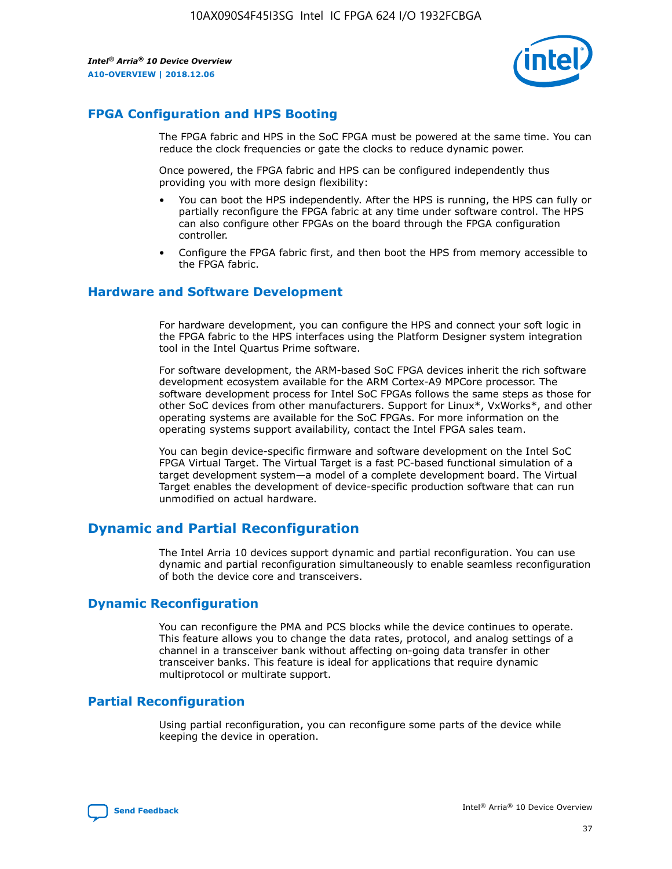

# **FPGA Configuration and HPS Booting**

The FPGA fabric and HPS in the SoC FPGA must be powered at the same time. You can reduce the clock frequencies or gate the clocks to reduce dynamic power.

Once powered, the FPGA fabric and HPS can be configured independently thus providing you with more design flexibility:

- You can boot the HPS independently. After the HPS is running, the HPS can fully or partially reconfigure the FPGA fabric at any time under software control. The HPS can also configure other FPGAs on the board through the FPGA configuration controller.
- Configure the FPGA fabric first, and then boot the HPS from memory accessible to the FPGA fabric.

## **Hardware and Software Development**

For hardware development, you can configure the HPS and connect your soft logic in the FPGA fabric to the HPS interfaces using the Platform Designer system integration tool in the Intel Quartus Prime software.

For software development, the ARM-based SoC FPGA devices inherit the rich software development ecosystem available for the ARM Cortex-A9 MPCore processor. The software development process for Intel SoC FPGAs follows the same steps as those for other SoC devices from other manufacturers. Support for Linux\*, VxWorks\*, and other operating systems are available for the SoC FPGAs. For more information on the operating systems support availability, contact the Intel FPGA sales team.

You can begin device-specific firmware and software development on the Intel SoC FPGA Virtual Target. The Virtual Target is a fast PC-based functional simulation of a target development system—a model of a complete development board. The Virtual Target enables the development of device-specific production software that can run unmodified on actual hardware.

# **Dynamic and Partial Reconfiguration**

The Intel Arria 10 devices support dynamic and partial reconfiguration. You can use dynamic and partial reconfiguration simultaneously to enable seamless reconfiguration of both the device core and transceivers.

# **Dynamic Reconfiguration**

You can reconfigure the PMA and PCS blocks while the device continues to operate. This feature allows you to change the data rates, protocol, and analog settings of a channel in a transceiver bank without affecting on-going data transfer in other transceiver banks. This feature is ideal for applications that require dynamic multiprotocol or multirate support.

# **Partial Reconfiguration**

Using partial reconfiguration, you can reconfigure some parts of the device while keeping the device in operation.

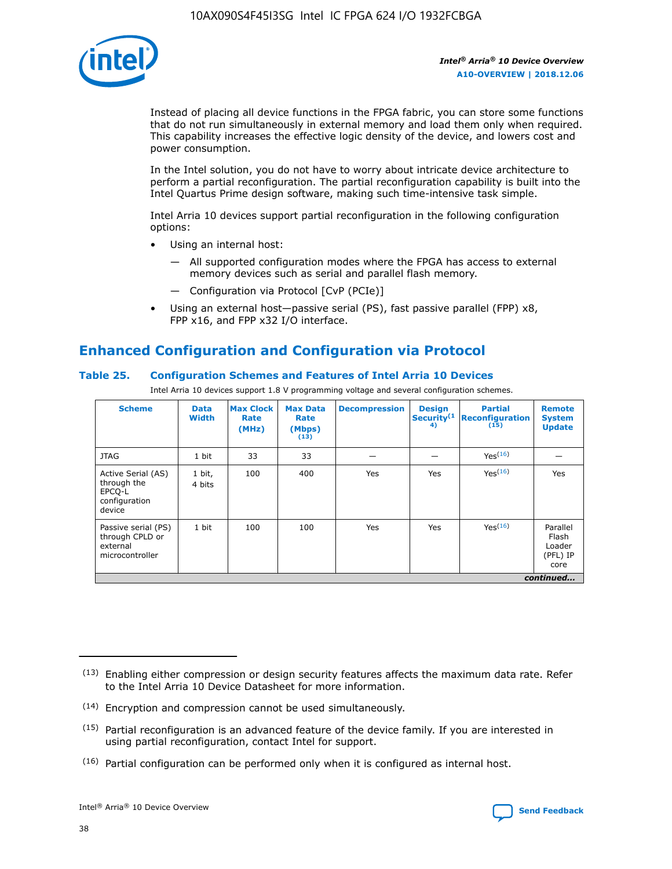

Instead of placing all device functions in the FPGA fabric, you can store some functions that do not run simultaneously in external memory and load them only when required. This capability increases the effective logic density of the device, and lowers cost and power consumption.

In the Intel solution, you do not have to worry about intricate device architecture to perform a partial reconfiguration. The partial reconfiguration capability is built into the Intel Quartus Prime design software, making such time-intensive task simple.

Intel Arria 10 devices support partial reconfiguration in the following configuration options:

- Using an internal host:
	- All supported configuration modes where the FPGA has access to external memory devices such as serial and parallel flash memory.
	- Configuration via Protocol [CvP (PCIe)]
- Using an external host—passive serial (PS), fast passive parallel (FPP) x8, FPP x16, and FPP x32 I/O interface.

# **Enhanced Configuration and Configuration via Protocol**

# **Table 25. Configuration Schemes and Features of Intel Arria 10 Devices**

Intel Arria 10 devices support 1.8 V programming voltage and several configuration schemes.

| <b>Scheme</b>                                                          | <b>Data</b><br><b>Width</b> | <b>Max Clock</b><br>Rate<br>(MHz) | <b>Max Data</b><br>Rate<br>(Mbps)<br>(13) | <b>Decompression</b> | <b>Design</b><br>Security <sup>(1</sup><br>4) | <b>Partial</b><br><b>Reconfiguration</b><br>(15) | <b>Remote</b><br><b>System</b><br><b>Update</b> |
|------------------------------------------------------------------------|-----------------------------|-----------------------------------|-------------------------------------------|----------------------|-----------------------------------------------|--------------------------------------------------|-------------------------------------------------|
| <b>JTAG</b>                                                            | 1 bit                       | 33                                | 33                                        |                      |                                               | Yes(16)                                          |                                                 |
| Active Serial (AS)<br>through the<br>EPCO-L<br>configuration<br>device | 1 bit,<br>4 bits            | 100                               | 400                                       | Yes                  | Yes                                           | $Y_{PS}(16)$                                     | Yes                                             |
| Passive serial (PS)<br>through CPLD or<br>external<br>microcontroller  | 1 bit                       | 100                               | 100                                       | Yes                  | Yes                                           | Yes(16)                                          | Parallel<br>Flash<br>Loader<br>(PFL) IP<br>core |
|                                                                        |                             |                                   |                                           |                      |                                               |                                                  | continued                                       |

<sup>(13)</sup> Enabling either compression or design security features affects the maximum data rate. Refer to the Intel Arria 10 Device Datasheet for more information.

<sup>(14)</sup> Encryption and compression cannot be used simultaneously.

 $<sup>(15)</sup>$  Partial reconfiguration is an advanced feature of the device family. If you are interested in</sup> using partial reconfiguration, contact Intel for support.

 $(16)$  Partial configuration can be performed only when it is configured as internal host.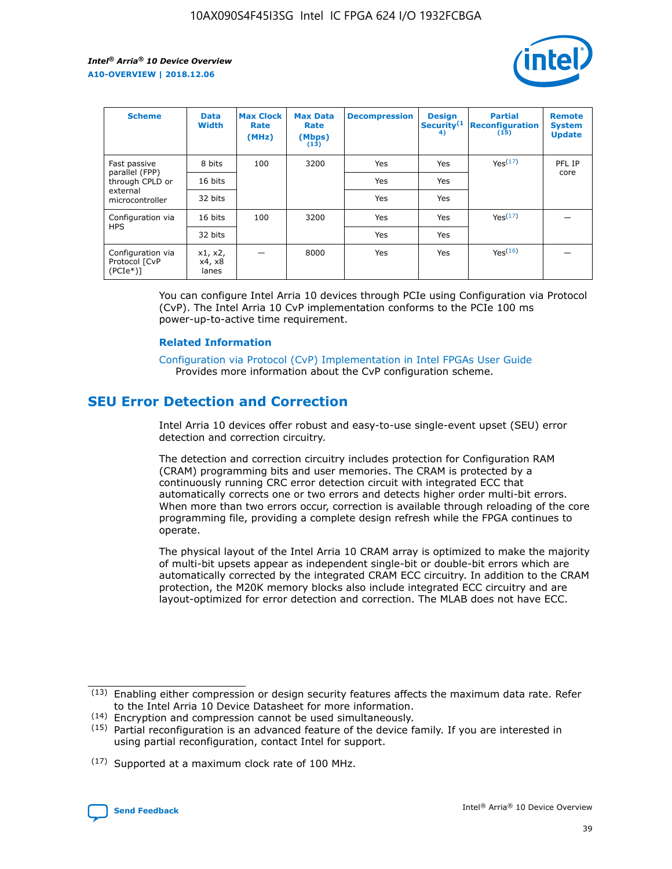

| <b>Scheme</b>                                   | <b>Data</b><br><b>Width</b> | <b>Max Clock</b><br>Rate<br>(MHz) | <b>Max Data</b><br>Rate<br>(Mbps)<br>(13) | <b>Decompression</b> | <b>Design</b><br>Security <sup>(1</sup><br>4) | <b>Partial</b><br><b>Reconfiguration</b><br>(15) | <b>Remote</b><br><b>System</b><br><b>Update</b> |
|-------------------------------------------------|-----------------------------|-----------------------------------|-------------------------------------------|----------------------|-----------------------------------------------|--------------------------------------------------|-------------------------------------------------|
| Fast passive                                    | 8 bits                      | 100                               | 3200                                      | Yes                  | Yes                                           | Yes(17)                                          | PFL IP                                          |
| parallel (FPP)<br>through CPLD or               | 16 bits                     |                                   |                                           | Yes                  | Yes                                           |                                                  | core                                            |
| external<br>microcontroller                     | 32 bits                     |                                   |                                           | Yes                  | Yes                                           |                                                  |                                                 |
| Configuration via                               | 16 bits                     | 100                               | 3200                                      | Yes                  | Yes                                           | Yes <sup>(17)</sup>                              |                                                 |
| <b>HPS</b>                                      | 32 bits                     |                                   |                                           | Yes                  | Yes                                           |                                                  |                                                 |
| Configuration via<br>Protocol [CvP<br>$(PCIe*)$ | x1, x2,<br>x4, x8<br>lanes  |                                   | 8000                                      | Yes                  | Yes                                           | Yes(16)                                          |                                                 |

You can configure Intel Arria 10 devices through PCIe using Configuration via Protocol (CvP). The Intel Arria 10 CvP implementation conforms to the PCIe 100 ms power-up-to-active time requirement.

#### **Related Information**

[Configuration via Protocol \(CvP\) Implementation in Intel FPGAs User Guide](https://www.intel.com/content/www/us/en/programmable/documentation/dsu1441819344145.html#dsu1442269728522) Provides more information about the CvP configuration scheme.

# **SEU Error Detection and Correction**

Intel Arria 10 devices offer robust and easy-to-use single-event upset (SEU) error detection and correction circuitry.

The detection and correction circuitry includes protection for Configuration RAM (CRAM) programming bits and user memories. The CRAM is protected by a continuously running CRC error detection circuit with integrated ECC that automatically corrects one or two errors and detects higher order multi-bit errors. When more than two errors occur, correction is available through reloading of the core programming file, providing a complete design refresh while the FPGA continues to operate.

The physical layout of the Intel Arria 10 CRAM array is optimized to make the majority of multi-bit upsets appear as independent single-bit or double-bit errors which are automatically corrected by the integrated CRAM ECC circuitry. In addition to the CRAM protection, the M20K memory blocks also include integrated ECC circuitry and are layout-optimized for error detection and correction. The MLAB does not have ECC.

(14) Encryption and compression cannot be used simultaneously.

<sup>(17)</sup> Supported at a maximum clock rate of 100 MHz.



 $(13)$  Enabling either compression or design security features affects the maximum data rate. Refer to the Intel Arria 10 Device Datasheet for more information.

 $(15)$  Partial reconfiguration is an advanced feature of the device family. If you are interested in using partial reconfiguration, contact Intel for support.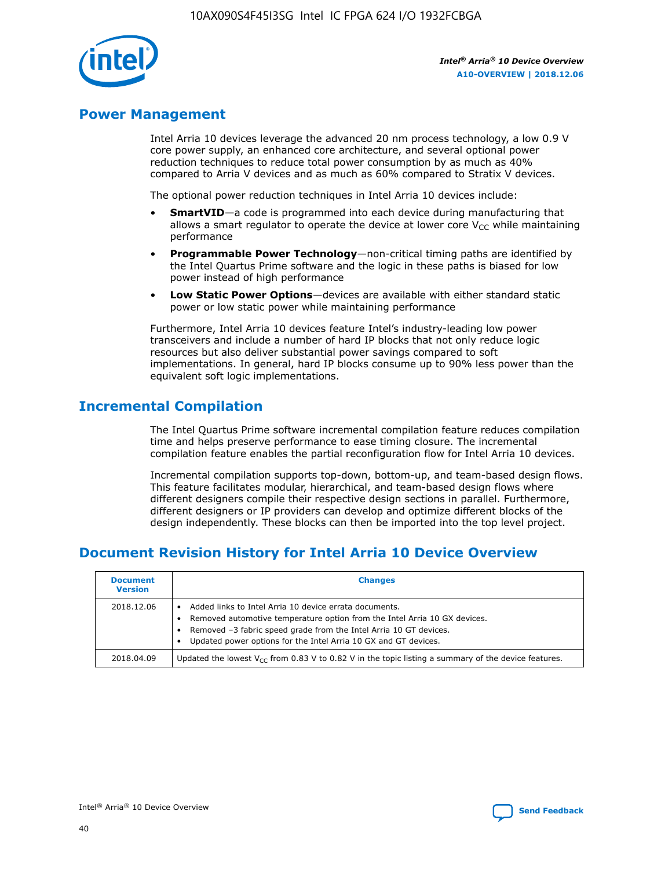

# **Power Management**

Intel Arria 10 devices leverage the advanced 20 nm process technology, a low 0.9 V core power supply, an enhanced core architecture, and several optional power reduction techniques to reduce total power consumption by as much as 40% compared to Arria V devices and as much as 60% compared to Stratix V devices.

The optional power reduction techniques in Intel Arria 10 devices include:

- **SmartVID**—a code is programmed into each device during manufacturing that allows a smart regulator to operate the device at lower core  $V_{CC}$  while maintaining performance
- **Programmable Power Technology**—non-critical timing paths are identified by the Intel Quartus Prime software and the logic in these paths is biased for low power instead of high performance
- **Low Static Power Options**—devices are available with either standard static power or low static power while maintaining performance

Furthermore, Intel Arria 10 devices feature Intel's industry-leading low power transceivers and include a number of hard IP blocks that not only reduce logic resources but also deliver substantial power savings compared to soft implementations. In general, hard IP blocks consume up to 90% less power than the equivalent soft logic implementations.

# **Incremental Compilation**

The Intel Quartus Prime software incremental compilation feature reduces compilation time and helps preserve performance to ease timing closure. The incremental compilation feature enables the partial reconfiguration flow for Intel Arria 10 devices.

Incremental compilation supports top-down, bottom-up, and team-based design flows. This feature facilitates modular, hierarchical, and team-based design flows where different designers compile their respective design sections in parallel. Furthermore, different designers or IP providers can develop and optimize different blocks of the design independently. These blocks can then be imported into the top level project.

# **Document Revision History for Intel Arria 10 Device Overview**

| <b>Document</b><br><b>Version</b> | <b>Changes</b>                                                                                                                                                                                                                                                              |
|-----------------------------------|-----------------------------------------------------------------------------------------------------------------------------------------------------------------------------------------------------------------------------------------------------------------------------|
| 2018.12.06                        | Added links to Intel Arria 10 device errata documents.<br>Removed automotive temperature option from the Intel Arria 10 GX devices.<br>Removed -3 fabric speed grade from the Intel Arria 10 GT devices.<br>Updated power options for the Intel Arria 10 GX and GT devices. |
| 2018.04.09                        | Updated the lowest $V_{CC}$ from 0.83 V to 0.82 V in the topic listing a summary of the device features.                                                                                                                                                                    |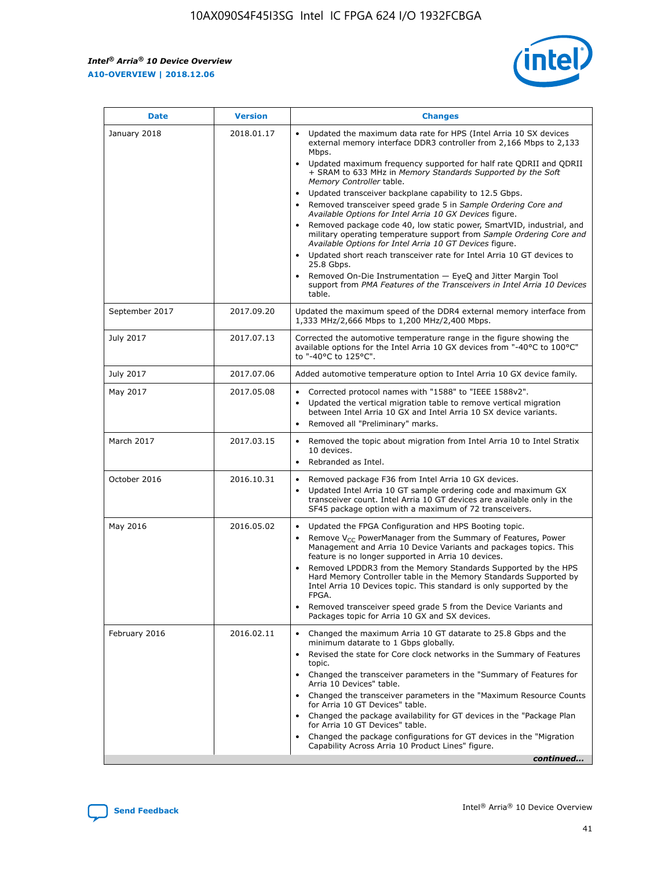*Intel® Arria® 10 Device Overview* **A10-OVERVIEW | 2018.12.06**



| <b>Date</b>    | <b>Version</b> | <b>Changes</b>                                                                                                                                                                                                                                                                                                                                                                                                                                                                                                                                                                                                                                                                                                                                                                                                                                                                                                                                                            |
|----------------|----------------|---------------------------------------------------------------------------------------------------------------------------------------------------------------------------------------------------------------------------------------------------------------------------------------------------------------------------------------------------------------------------------------------------------------------------------------------------------------------------------------------------------------------------------------------------------------------------------------------------------------------------------------------------------------------------------------------------------------------------------------------------------------------------------------------------------------------------------------------------------------------------------------------------------------------------------------------------------------------------|
| January 2018   | 2018.01.17     | Updated the maximum data rate for HPS (Intel Arria 10 SX devices<br>external memory interface DDR3 controller from 2,166 Mbps to 2,133<br>Mbps.<br>Updated maximum frequency supported for half rate QDRII and QDRII<br>+ SRAM to 633 MHz in Memory Standards Supported by the Soft<br>Memory Controller table.<br>Updated transceiver backplane capability to 12.5 Gbps.<br>$\bullet$<br>Removed transceiver speed grade 5 in Sample Ordering Core and<br>Available Options for Intel Arria 10 GX Devices figure.<br>Removed package code 40, low static power, SmartVID, industrial, and<br>military operating temperature support from Sample Ordering Core and<br>Available Options for Intel Arria 10 GT Devices figure.<br>Updated short reach transceiver rate for Intel Arria 10 GT devices to<br>25.8 Gbps.<br>Removed On-Die Instrumentation - EyeQ and Jitter Margin Tool<br>support from PMA Features of the Transceivers in Intel Arria 10 Devices<br>table. |
| September 2017 | 2017.09.20     | Updated the maximum speed of the DDR4 external memory interface from<br>1,333 MHz/2,666 Mbps to 1,200 MHz/2,400 Mbps.                                                                                                                                                                                                                                                                                                                                                                                                                                                                                                                                                                                                                                                                                                                                                                                                                                                     |
| July 2017      | 2017.07.13     | Corrected the automotive temperature range in the figure showing the<br>available options for the Intel Arria 10 GX devices from "-40°C to 100°C"<br>to "-40°C to 125°C".                                                                                                                                                                                                                                                                                                                                                                                                                                                                                                                                                                                                                                                                                                                                                                                                 |
| July 2017      | 2017.07.06     | Added automotive temperature option to Intel Arria 10 GX device family.                                                                                                                                                                                                                                                                                                                                                                                                                                                                                                                                                                                                                                                                                                                                                                                                                                                                                                   |
| May 2017       | 2017.05.08     | Corrected protocol names with "1588" to "IEEE 1588v2".<br>$\bullet$<br>Updated the vertical migration table to remove vertical migration<br>$\bullet$<br>between Intel Arria 10 GX and Intel Arria 10 SX device variants.<br>Removed all "Preliminary" marks.<br>$\bullet$                                                                                                                                                                                                                                                                                                                                                                                                                                                                                                                                                                                                                                                                                                |
| March 2017     | 2017.03.15     | Removed the topic about migration from Intel Arria 10 to Intel Stratix<br>10 devices.<br>Rebranded as Intel.<br>$\bullet$                                                                                                                                                                                                                                                                                                                                                                                                                                                                                                                                                                                                                                                                                                                                                                                                                                                 |
| October 2016   | 2016.10.31     | Removed package F36 from Intel Arria 10 GX devices.<br>Updated Intel Arria 10 GT sample ordering code and maximum GX<br>$\bullet$<br>transceiver count. Intel Arria 10 GT devices are available only in the<br>SF45 package option with a maximum of 72 transceivers.                                                                                                                                                                                                                                                                                                                                                                                                                                                                                                                                                                                                                                                                                                     |
| May 2016       | 2016.05.02     | Updated the FPGA Configuration and HPS Booting topic.<br>$\bullet$<br>Remove V <sub>CC</sub> PowerManager from the Summary of Features, Power<br>Management and Arria 10 Device Variants and packages topics. This<br>feature is no longer supported in Arria 10 devices.<br>Removed LPDDR3 from the Memory Standards Supported by the HPS<br>Hard Memory Controller table in the Memory Standards Supported by<br>Intel Arria 10 Devices topic. This standard is only supported by the<br>FPGA.<br>Removed transceiver speed grade 5 from the Device Variants and<br>Packages topic for Arria 10 GX and SX devices.                                                                                                                                                                                                                                                                                                                                                      |
| February 2016  | 2016.02.11     | Changed the maximum Arria 10 GT datarate to 25.8 Gbps and the<br>minimum datarate to 1 Gbps globally.<br>Revised the state for Core clock networks in the Summary of Features<br>$\bullet$<br>topic.<br>Changed the transceiver parameters in the "Summary of Features for<br>$\bullet$<br>Arria 10 Devices" table.<br>• Changed the transceiver parameters in the "Maximum Resource Counts<br>for Arria 10 GT Devices" table.<br>Changed the package availability for GT devices in the "Package Plan<br>for Arria 10 GT Devices" table.<br>Changed the package configurations for GT devices in the "Migration"<br>Capability Across Arria 10 Product Lines" figure.<br>continued                                                                                                                                                                                                                                                                                       |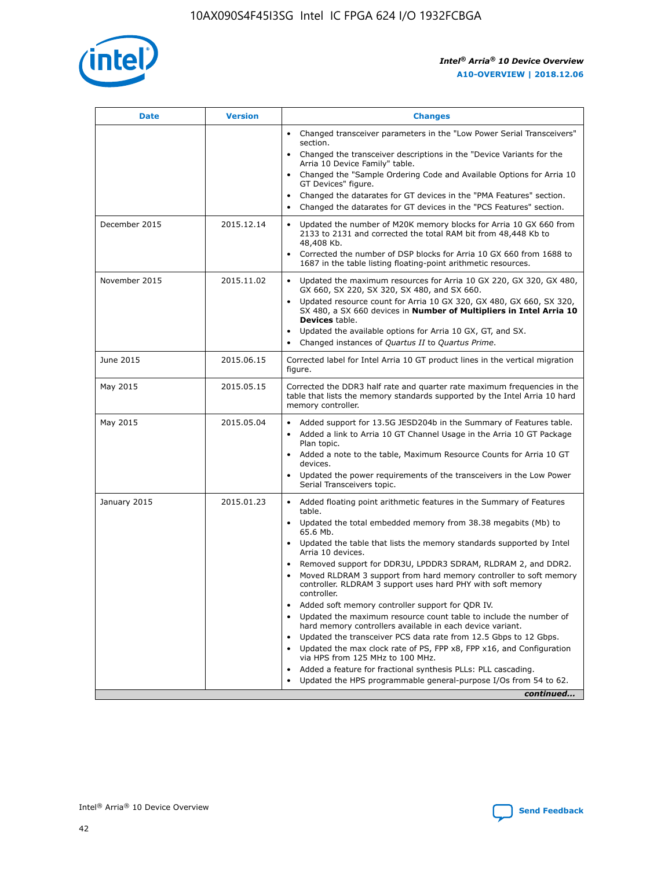

| <b>Date</b>   | <b>Version</b> | <b>Changes</b>                                                                                                                                                               |
|---------------|----------------|------------------------------------------------------------------------------------------------------------------------------------------------------------------------------|
|               |                | • Changed transceiver parameters in the "Low Power Serial Transceivers"<br>section.                                                                                          |
|               |                | • Changed the transceiver descriptions in the "Device Variants for the<br>Arria 10 Device Family" table.                                                                     |
|               |                | Changed the "Sample Ordering Code and Available Options for Arria 10<br>$\bullet$<br>GT Devices" figure.                                                                     |
|               |                | Changed the datarates for GT devices in the "PMA Features" section.                                                                                                          |
|               |                | Changed the datarates for GT devices in the "PCS Features" section.<br>$\bullet$                                                                                             |
| December 2015 | 2015.12.14     | Updated the number of M20K memory blocks for Arria 10 GX 660 from<br>2133 to 2131 and corrected the total RAM bit from 48,448 Kb to<br>48,408 Kb.                            |
|               |                | Corrected the number of DSP blocks for Arria 10 GX 660 from 1688 to<br>1687 in the table listing floating-point arithmetic resources.                                        |
| November 2015 | 2015.11.02     | Updated the maximum resources for Arria 10 GX 220, GX 320, GX 480,<br>$\bullet$<br>GX 660, SX 220, SX 320, SX 480, and SX 660.                                               |
|               |                | • Updated resource count for Arria 10 GX 320, GX 480, GX 660, SX 320,<br>SX 480, a SX 660 devices in Number of Multipliers in Intel Arria 10<br><b>Devices</b> table.        |
|               |                | Updated the available options for Arria 10 GX, GT, and SX.                                                                                                                   |
|               |                | Changed instances of Quartus II to Quartus Prime.<br>$\bullet$                                                                                                               |
| June 2015     | 2015.06.15     | Corrected label for Intel Arria 10 GT product lines in the vertical migration<br>figure.                                                                                     |
| May 2015      | 2015.05.15     | Corrected the DDR3 half rate and quarter rate maximum frequencies in the<br>table that lists the memory standards supported by the Intel Arria 10 hard<br>memory controller. |
| May 2015      | 2015.05.04     | • Added support for 13.5G JESD204b in the Summary of Features table.<br>• Added a link to Arria 10 GT Channel Usage in the Arria 10 GT Package<br>Plan topic.                |
|               |                | • Added a note to the table, Maximum Resource Counts for Arria 10 GT<br>devices.                                                                                             |
|               |                | • Updated the power requirements of the transceivers in the Low Power<br>Serial Transceivers topic.                                                                          |
| January 2015  | 2015.01.23     | • Added floating point arithmetic features in the Summary of Features<br>table.                                                                                              |
|               |                | • Updated the total embedded memory from 38.38 megabits (Mb) to<br>65.6 Mb.                                                                                                  |
|               |                | • Updated the table that lists the memory standards supported by Intel<br>Arria 10 devices.                                                                                  |
|               |                | Removed support for DDR3U, LPDDR3 SDRAM, RLDRAM 2, and DDR2.                                                                                                                 |
|               |                | Moved RLDRAM 3 support from hard memory controller to soft memory<br>controller. RLDRAM 3 support uses hard PHY with soft memory<br>controller.                              |
|               |                | Added soft memory controller support for QDR IV.<br>٠                                                                                                                        |
|               |                | Updated the maximum resource count table to include the number of<br>hard memory controllers available in each device variant.                                               |
|               |                | Updated the transceiver PCS data rate from 12.5 Gbps to 12 Gbps.<br>$\bullet$                                                                                                |
|               |                | Updated the max clock rate of PS, FPP x8, FPP x16, and Configuration<br>via HPS from 125 MHz to 100 MHz.                                                                     |
|               |                | Added a feature for fractional synthesis PLLs: PLL cascading.                                                                                                                |
|               |                | Updated the HPS programmable general-purpose I/Os from 54 to 62.<br>$\bullet$<br>continued                                                                                   |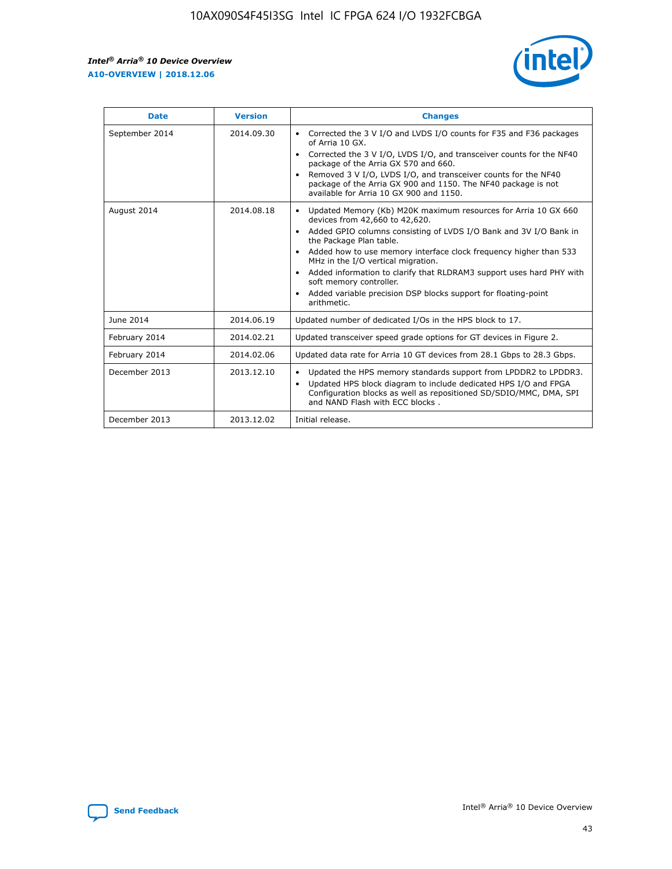r



| <b>Date</b>    | <b>Version</b> | <b>Changes</b>                                                                                                                                                                                                                                                                                                                                                                                                                                                                                                                                      |
|----------------|----------------|-----------------------------------------------------------------------------------------------------------------------------------------------------------------------------------------------------------------------------------------------------------------------------------------------------------------------------------------------------------------------------------------------------------------------------------------------------------------------------------------------------------------------------------------------------|
| September 2014 | 2014.09.30     | Corrected the 3 V I/O and LVDS I/O counts for F35 and F36 packages<br>$\bullet$<br>of Arria 10 GX.<br>Corrected the 3 V I/O, LVDS I/O, and transceiver counts for the NF40<br>$\bullet$<br>package of the Arria GX 570 and 660.<br>Removed 3 V I/O, LVDS I/O, and transceiver counts for the NF40<br>package of the Arria GX 900 and 1150. The NF40 package is not<br>available for Arria 10 GX 900 and 1150.                                                                                                                                       |
| August 2014    | 2014.08.18     | Updated Memory (Kb) M20K maximum resources for Arria 10 GX 660<br>devices from 42,660 to 42,620.<br>Added GPIO columns consisting of LVDS I/O Bank and 3V I/O Bank in<br>$\bullet$<br>the Package Plan table.<br>Added how to use memory interface clock frequency higher than 533<br>$\bullet$<br>MHz in the I/O vertical migration.<br>Added information to clarify that RLDRAM3 support uses hard PHY with<br>$\bullet$<br>soft memory controller.<br>Added variable precision DSP blocks support for floating-point<br>$\bullet$<br>arithmetic. |
| June 2014      | 2014.06.19     | Updated number of dedicated I/Os in the HPS block to 17.                                                                                                                                                                                                                                                                                                                                                                                                                                                                                            |
| February 2014  | 2014.02.21     | Updated transceiver speed grade options for GT devices in Figure 2.                                                                                                                                                                                                                                                                                                                                                                                                                                                                                 |
| February 2014  | 2014.02.06     | Updated data rate for Arria 10 GT devices from 28.1 Gbps to 28.3 Gbps.                                                                                                                                                                                                                                                                                                                                                                                                                                                                              |
| December 2013  | 2013.12.10     | Updated the HPS memory standards support from LPDDR2 to LPDDR3.<br>Updated HPS block diagram to include dedicated HPS I/O and FPGA<br>$\bullet$<br>Configuration blocks as well as repositioned SD/SDIO/MMC, DMA, SPI<br>and NAND Flash with ECC blocks.                                                                                                                                                                                                                                                                                            |
| December 2013  | 2013.12.02     | Initial release.                                                                                                                                                                                                                                                                                                                                                                                                                                                                                                                                    |